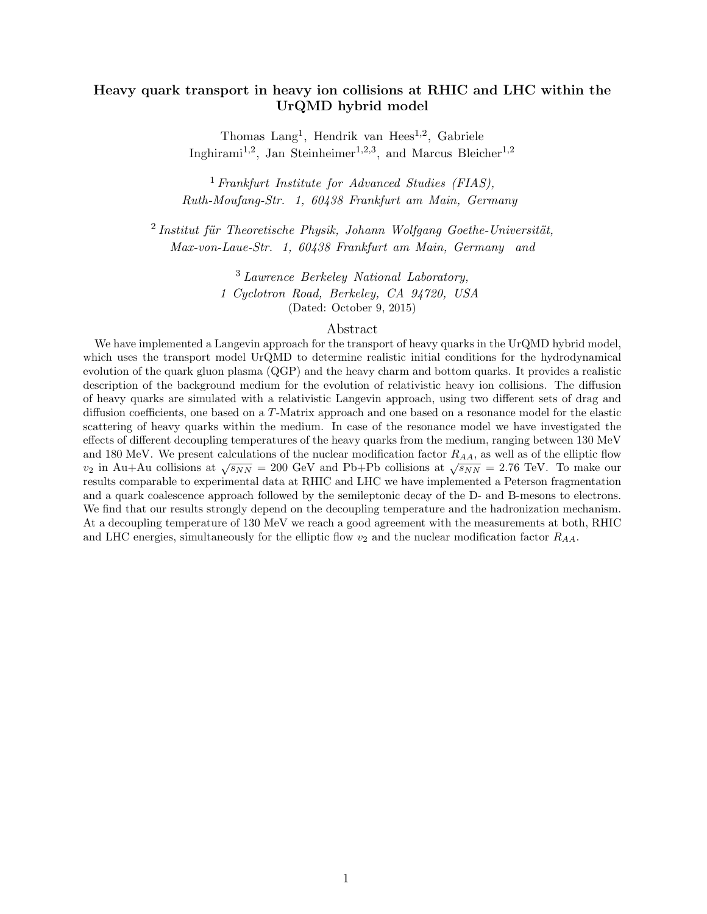# Heavy quark transport in heavy ion collisions at RHIC and LHC within the UrQMD hybrid model

Thomas Lang<sup>1</sup>, Hendrik van Hees<sup>1,2</sup>, Gabriele Inghirami<sup>1,2</sup>, Jan Steinheimer<sup>1,2,3</sup>, and Marcus Bleicher<sup>1,2</sup>

<sup>1</sup> Frankfurt Institute for Advanced Studies (FIAS), Ruth-Moufang-Str. 1, 60438 Frankfurt am Main, Germany

 $2$ Institut für Theoretische Physik, Johann Wolfgang Goethe-Universität, Max-von-Laue-Str. 1, 60438 Frankfurt am Main, Germany and

> <sup>3</sup> Lawrence Berkeley National Laboratory, 1 Cyclotron Road, Berkeley, CA 94720, USA (Dated: October 9, 2015)

# Abstract

We have implemented a Langevin approach for the transport of heavy quarks in the UrQMD hybrid model, which uses the transport model UrQMD to determine realistic initial conditions for the hydrodynamical evolution of the quark gluon plasma (QGP) and the heavy charm and bottom quarks. It provides a realistic description of the background medium for the evolution of relativistic heavy ion collisions. The diffusion of heavy quarks are simulated with a relativistic Langevin approach, using two different sets of drag and diffusion coefficients, one based on a T-Matrix approach and one based on a resonance model for the elastic scattering of heavy quarks within the medium. In case of the resonance model we have investigated the effects of different decoupling temperatures of the heavy quarks from the medium, ranging between 130 MeV and 180 MeV. We present calculations of the nuclear modification factor  $R_{AA}$ , as well as of the elliptic flow and 100 MeV. We present calculations of the interest modification ractor  $R_{AA}$ , as wen as of the emptite how  $v_2$  in Au+Au collisions at  $\sqrt{s_{NN}} = 200$  GeV and Pb+Pb collisions at  $\sqrt{s_{NN}} = 2.76$  TeV. To make our results comparable to experimental data at RHIC and LHC we have implemented a Peterson fragmentation and a quark coalescence approach followed by the semileptonic decay of the D- and B-mesons to electrons. We find that our results strongly depend on the decoupling temperature and the hadronization mechanism. At a decoupling temperature of 130 MeV we reach a good agreement with the measurements at both, RHIC and LHC energies, simultaneously for the elliptic flow  $v_2$  and the nuclear modification factor  $R_{AA}$ .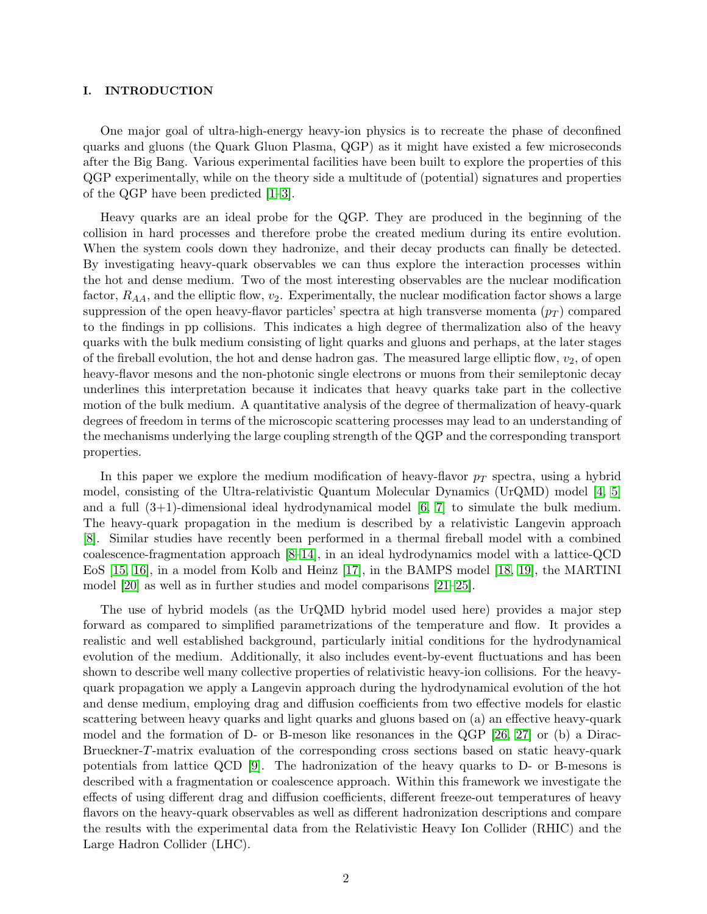# I. INTRODUCTION

One major goal of ultra-high-energy heavy-ion physics is to recreate the phase of deconfined quarks and gluons (the Quark Gluon Plasma, QGP) as it might have existed a few microseconds after the Big Bang. Various experimental facilities have been built to explore the properties of this QGP experimentally, while on the theory side a multitude of (potential) signatures and properties of the QGP have been predicted [\[1–](#page-23-0)[3\]](#page-23-1).

Heavy quarks are an ideal probe for the QGP. They are produced in the beginning of the collision in hard processes and therefore probe the created medium during its entire evolution. When the system cools down they hadronize, and their decay products can finally be detected. By investigating heavy-quark observables we can thus explore the interaction processes within the hot and dense medium. Two of the most interesting observables are the nuclear modification factor,  $R_{AA}$ , and the elliptic flow,  $v_2$ . Experimentally, the nuclear modification factor shows a large suppression of the open heavy-flavor particles' spectra at high transverse momenta  $(p_T)$  compared to the findings in pp collisions. This indicates a high degree of thermalization also of the heavy quarks with the bulk medium consisting of light quarks and gluons and perhaps, at the later stages of the fireball evolution, the hot and dense hadron gas. The measured large elliptic flow,  $v_2$ , of open heavy-flavor mesons and the non-photonic single electrons or muons from their semileptonic decay underlines this interpretation because it indicates that heavy quarks take part in the collective motion of the bulk medium. A quantitative analysis of the degree of thermalization of heavy-quark degrees of freedom in terms of the microscopic scattering processes may lead to an understanding of the mechanisms underlying the large coupling strength of the QGP and the corresponding transport properties.

In this paper we explore the medium modification of heavy-flavor  $p_T$  spectra, using a hybrid model, consisting of the Ultra-relativistic Quantum Molecular Dynamics (UrQMD) model [\[4,](#page-23-2) [5\]](#page-23-3) and a full  $(3+1)$ -dimensional ideal hydrodynamical model  $[6, 7]$  $[6, 7]$  to simulate the bulk medium. The heavy-quark propagation in the medium is described by a relativistic Langevin approach [\[8\]](#page-23-6). Similar studies have recently been performed in a thermal fireball model with a combined coalescence-fragmentation approach [\[8](#page-23-6)[–14\]](#page-23-7), in an ideal hydrodynamics model with a lattice-QCD EoS [\[15,](#page-23-8) [16\]](#page-23-9), in a model from Kolb and Heinz [\[17\]](#page-23-10), in the BAMPS model [\[18,](#page-23-11) [19\]](#page-23-12), the MARTINI model [\[20\]](#page-23-13) as well as in further studies and model comparisons [\[21–](#page-23-14)[25\]](#page-23-15).

The use of hybrid models (as the UrQMD hybrid model used here) provides a major step forward as compared to simplified parametrizations of the temperature and flow. It provides a realistic and well established background, particularly initial conditions for the hydrodynamical evolution of the medium. Additionally, it also includes event-by-event fluctuations and has been shown to describe well many collective properties of relativistic heavy-ion collisions. For the heavyquark propagation we apply a Langevin approach during the hydrodynamical evolution of the hot and dense medium, employing drag and diffusion coefficients from two effective models for elastic scattering between heavy quarks and light quarks and gluons based on (a) an effective heavy-quark model and the formation of D- or B-meson like resonances in the QGP [\[26,](#page-23-16) [27\]](#page-23-17) or (b) a Dirac-Brueckner-T-matrix evaluation of the corresponding cross sections based on static heavy-quark potentials from lattice QCD [\[9\]](#page-23-18). The hadronization of the heavy quarks to D- or B-mesons is described with a fragmentation or coalescence approach. Within this framework we investigate the effects of using different drag and diffusion coefficients, different freeze-out temperatures of heavy flavors on the heavy-quark observables as well as different hadronization descriptions and compare the results with the experimental data from the Relativistic Heavy Ion Collider (RHIC) and the Large Hadron Collider (LHC).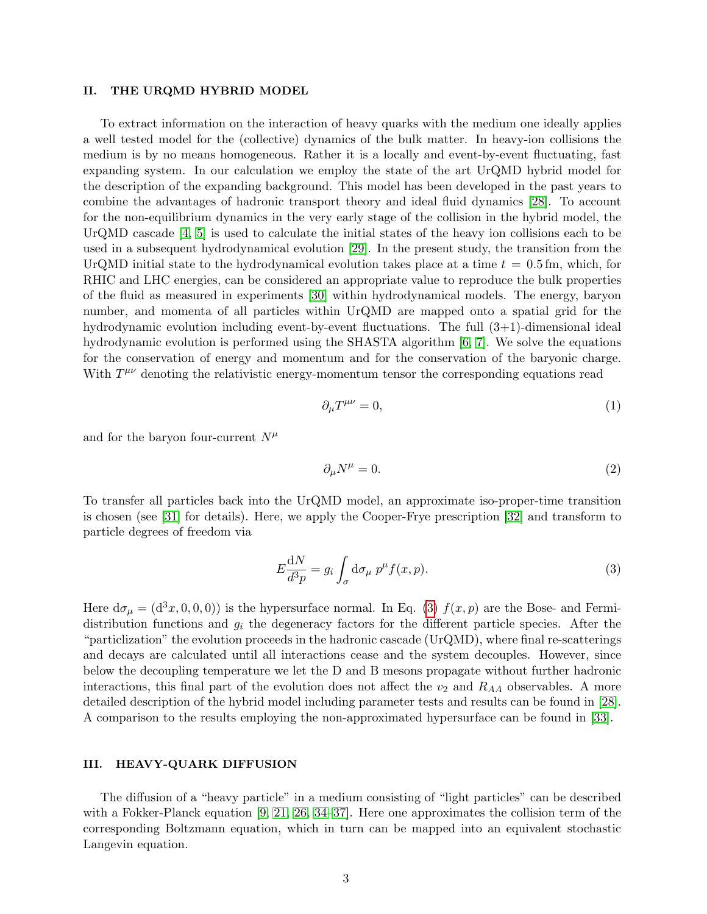#### II. THE URQMD HYBRID MODEL

To extract information on the interaction of heavy quarks with the medium one ideally applies a well tested model for the (collective) dynamics of the bulk matter. In heavy-ion collisions the medium is by no means homogeneous. Rather it is a locally and event-by-event fluctuating, fast expanding system. In our calculation we employ the state of the art UrQMD hybrid model for the description of the expanding background. This model has been developed in the past years to combine the advantages of hadronic transport theory and ideal fluid dynamics [\[28\]](#page-23-19). To account for the non-equilibrium dynamics in the very early stage of the collision in the hybrid model, the UrQMD cascade [\[4,](#page-23-2) [5\]](#page-23-3) is used to calculate the initial states of the heavy ion collisions each to be used in a subsequent hydrodynamical evolution [\[29\]](#page-23-20). In the present study, the transition from the UrQMD initial state to the hydrodynamical evolution takes place at a time  $t = 0.5$  fm, which, for RHIC and LHC energies, can be considered an appropriate value to reproduce the bulk properties of the fluid as measured in experiments [\[30\]](#page-23-21) within hydrodynamical models. The energy, baryon number, and momenta of all particles within UrQMD are mapped onto a spatial grid for the hydrodynamic evolution including event-by-event fluctuations. The full (3+1)-dimensional ideal hydrodynamic evolution is performed using the SHASTA algorithm [\[6,](#page-23-4) [7\]](#page-23-5). We solve the equations for the conservation of energy and momentum and for the conservation of the baryonic charge. With  $T^{\mu\nu}$  denoting the relativistic energy-momentum tensor the corresponding equations read

$$
\partial_{\mu}T^{\mu\nu} = 0,\tag{1}
$$

and for the baryon four-current  $N^{\mu}$ 

$$
\partial_{\mu}N^{\mu} = 0. \tag{2}
$$

To transfer all particles back into the UrQMD model, an approximate iso-proper-time transition is chosen (see [\[31\]](#page-23-22) for details). Here, we apply the Cooper-Frye prescription [\[32\]](#page-23-23) and transform to particle degrees of freedom via

<span id="page-2-0"></span>
$$
E\frac{\mathrm{d}N}{\mathrm{d}^3p} = g_i \int_{\sigma} \mathrm{d}\sigma_{\mu} \, p^{\mu} f(x, p). \tag{3}
$$

Here  $d\sigma_{\mu} = (d^3x, 0, 0, 0)$  is the hypersurface normal. In Eq. [\(3\)](#page-2-0)  $f(x, p)$  are the Bose- and Fermidistribution functions and  $g_i$  the degeneracy factors for the different particle species. After the "particlization" the evolution proceeds in the hadronic cascade (UrQMD), where final re-scatterings and decays are calculated until all interactions cease and the system decouples. However, since below the decoupling temperature we let the D and B mesons propagate without further hadronic interactions, this final part of the evolution does not affect the  $v_2$  and  $R_{AA}$  observables. A more detailed description of the hybrid model including parameter tests and results can be found in [\[28\]](#page-23-19). A comparison to the results employing the non-approximated hypersurface can be found in [\[33\]](#page-23-24).

# III. HEAVY-QUARK DIFFUSION

The diffusion of a "heavy particle" in a medium consisting of "light particles" can be described with a Fokker-Planck equation [\[9,](#page-23-18) [21,](#page-23-14) [26,](#page-23-16) [34–](#page-23-25)[37\]](#page-23-26). Here one approximates the collision term of the corresponding Boltzmann equation, which in turn can be mapped into an equivalent stochastic Langevin equation.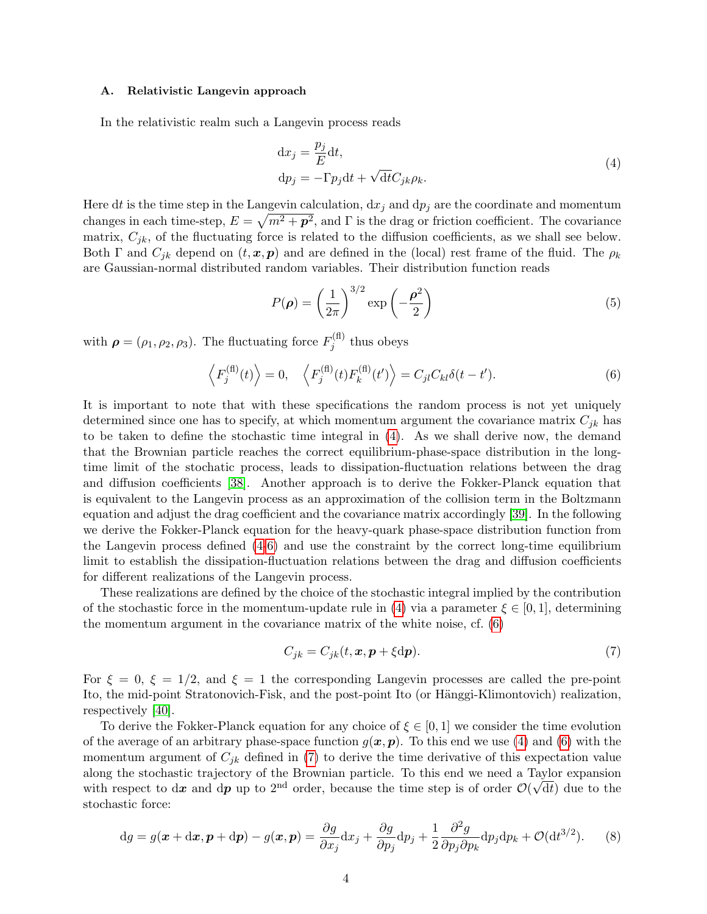### <span id="page-3-3"></span>A. Relativistic Langevin approach

In the relativistic realm such a Langevin process reads

<span id="page-3-0"></span>
$$
dx_j = \frac{p_j}{E} dt,
$$
  
\n
$$
dp_j = -\Gamma p_j dt + \sqrt{dt} C_{jk} \rho_k.
$$
\n(4)

Here dt is the time step in the Langevin calculation,  $dx_j$  and  $dp_j$  are the coordinate and momentum changes in each time-step,  $E = \sqrt{m^2 + p^2}$ , and Γ is the drag or friction coefficient. The covariance matrix,  $C_{jk}$ , of the fluctuating force is related to the diffusion coefficients, as we shall see below. Both Γ and  $C_{jk}$  depend on  $(t, x, p)$  and are defined in the (local) rest frame of the fluid. The  $\rho_k$ are Gaussian-normal distributed random variables. Their distribution function reads

<span id="page-3-1"></span>
$$
P(\rho) = \left(\frac{1}{2\pi}\right)^{3/2} \exp\left(-\frac{\rho^2}{2}\right)
$$
 (5)

with  $\rho = (\rho_1, \rho_2, \rho_3)$ . The fluctuating force  $F_i^{(\text{fl})}$  $j^{(1)}$  thus obeys

$$
\left\langle F_j^{(\text{fl})}(t) \right\rangle = 0, \quad \left\langle F_j^{(\text{fl})}(t) F_k^{(\text{fl})}(t') \right\rangle = C_{jl} C_{kl} \delta(t - t'). \tag{6}
$$

It is important to note that with these specifications the random process is not yet uniquely determined since one has to specify, at which momentum argument the covariance matrix  $C_{jk}$  has to be taken to define the stochastic time integral in [\(4\)](#page-3-0). As we shall derive now, the demand that the Brownian particle reaches the correct equilibrium-phase-space distribution in the longtime limit of the stochatic process, leads to dissipation-fluctuation relations between the drag and diffusion coefficients [\[38\]](#page-23-27). Another approach is to derive the Fokker-Planck equation that is equivalent to the Langevin process as an approximation of the collision term in the Boltzmann equation and adjust the drag coefficient and the covariance matrix accordingly [\[39\]](#page-23-28). In the following we derive the Fokker-Planck equation for the heavy-quark phase-space distribution function from the Langevin process defined [\(4-](#page-3-0)[6\)](#page-3-1) and use the constraint by the correct long-time equilibrium limit to establish the dissipation-fluctuation relations between the drag and diffusion coefficients for different realizations of the Langevin process.

These realizations are defined by the choice of the stochastic integral implied by the contribution of the stochastic force in the momentum-update rule in [\(4\)](#page-3-0) via a parameter  $\xi \in [0,1]$ , determining the momentum argument in the covariance matrix of the white noise, cf. [\(6\)](#page-3-1)

<span id="page-3-2"></span>
$$
C_{jk} = C_{jk}(t, \mathbf{x}, \mathbf{p} + \xi \mathrm{d}\mathbf{p}).\tag{7}
$$

For  $\xi = 0$ ,  $\xi = 1/2$ , and  $\xi = 1$  the corresponding Langevin processes are called the pre-point Ito, the mid-point Stratonovich-Fisk, and the post-point Ito (or Hänggi-Klimontovich) realization, respectively [\[40\]](#page-23-29).

To derive the Fokker-Planck equation for any choice of  $\xi \in [0,1]$  we consider the time evolution of the average of an arbitrary phase-space function  $g(x, p)$ . To this end we use [\(4\)](#page-3-0) and [\(6\)](#page-3-1) with the momentum argument of  $C_{jk}$  defined in [\(7\)](#page-3-2) to derive the time derivative of this expectation value along the stochastic trajectory of the Brownian particle. To this end we need a Taylor expansion with respect to dx and dp up to 2<sup>nd</sup> order, because the time step is of order  $\mathcal{O}(\sqrt{dt})$  due to the stochastic force:

$$
dg = g(\boldsymbol{x} + d\boldsymbol{x}, \boldsymbol{p} + d\boldsymbol{p}) - g(\boldsymbol{x}, \boldsymbol{p}) = \frac{\partial g}{\partial x_j} dx_j + \frac{\partial g}{\partial p_j} dp_j + \frac{1}{2} \frac{\partial^2 g}{\partial p_j \partial p_k} dp_j dp_k + \mathcal{O}(dt^{3/2}).
$$
 (8)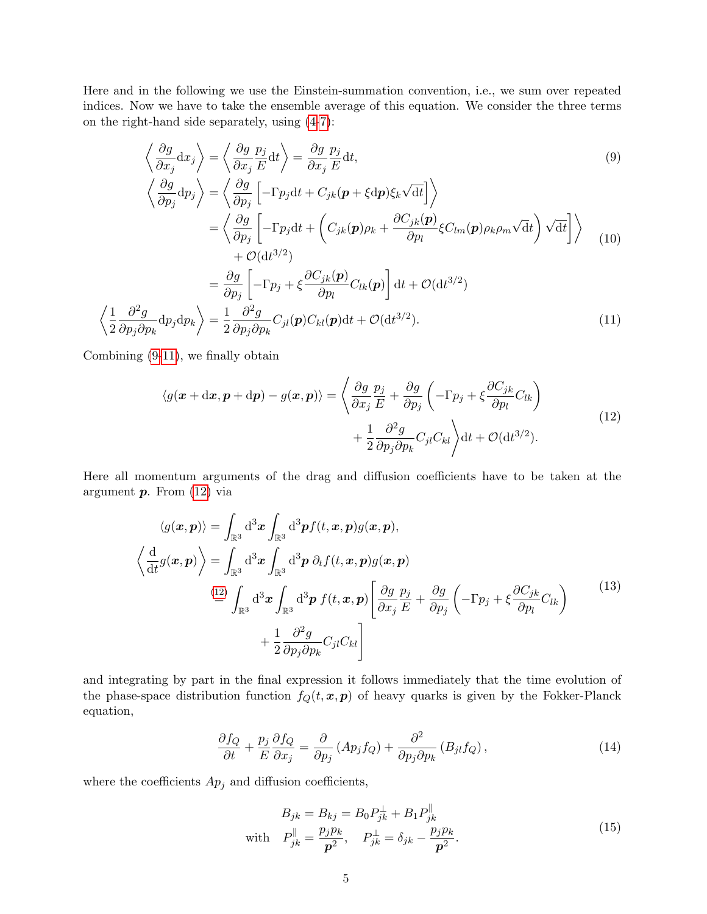Here and in the following we use the Einstein-summation convention, i.e., we sum over repeated indices. Now we have to take the ensemble average of this equation. We consider the three terms on the right-hand side separately, using [\(4-](#page-3-0)[7\)](#page-3-2):

<span id="page-4-0"></span>
$$
\left\langle \frac{\partial g}{\partial x_j} dx_j \right\rangle = \left\langle \frac{\partial g}{\partial x_j} \frac{p_j}{E} dt \right\rangle = \frac{\partial g}{\partial x_j} \frac{p_j}{E} dt,
$$
\n
$$
\left\langle \frac{\partial g}{\partial p_j} dp_j \right\rangle = \left\langle \frac{\partial g}{\partial p_j} \left[ -\Gamma p_j dt + C_{jk} (\mathbf{p} + \xi dp) \xi_k \sqrt{dt} \right] \right\rangle
$$
\n
$$
= \left\langle \frac{\partial g}{\partial p_j} \left[ -\Gamma p_j dt + \left( C_{jk} (\mathbf{p}) \rho_k + \frac{\partial C_{jk} (\mathbf{p})}{\partial p_l} \xi C_{lm} (\mathbf{p}) \rho_k \rho_m \sqrt{dt} \right) \sqrt{dt} \right] \right\rangle \quad (10)
$$
\n
$$
+ \mathcal{O}(\mathrm{d} t^{3/2})
$$
\n
$$
= \frac{\partial g}{\partial p_j} \left[ -\Gamma p_j + \xi \frac{\partial C_{jk} (\mathbf{p})}{\partial p_l} C_{lk} (\mathbf{p}) \right] dt + \mathcal{O}(\mathrm{d} t^{3/2})
$$
\n
$$
\frac{1}{2} \frac{\partial^2 g}{\partial p_j \partial p_k} dp_j dp_k \right\rangle = \frac{1}{2} \frac{\partial^2 g}{\partial p_j \partial p_k} C_{jl} (\mathbf{p}) C_{kl} (\mathbf{p}) dt + \mathcal{O}(\mathrm{d} t^{3/2}). \tag{11}
$$

Combining [\(9-](#page-4-0)[11\)](#page-4-1), we finally obtain

 $/1$ 

<span id="page-4-2"></span><span id="page-4-1"></span>
$$
\langle g(\boldsymbol{x} + d\boldsymbol{x}, \boldsymbol{p} + d\boldsymbol{p}) - g(\boldsymbol{x}, \boldsymbol{p}) \rangle = \left\langle \frac{\partial g}{\partial x_j} \frac{p_j}{E} + \frac{\partial g}{\partial p_j} \left( -\Gamma p_j + \xi \frac{\partial C_{jk}}{\partial p_l} C_{lk} \right) + \frac{1}{2} \frac{\partial^2 g}{\partial p_j \partial p_k} C_{jl} C_{kl} \right\rangle dt + \mathcal{O}(\mathrm{d}t^{3/2}).
$$
\n(12)

Here all momentum arguments of the drag and diffusion coefficients have to be taken at the argument  $p$ . From  $(12)$  via

$$
\langle g(\mathbf{x}, \mathbf{p}) \rangle = \int_{\mathbb{R}^3} d^3 \mathbf{x} \int_{\mathbb{R}^3} d^3 \mathbf{p} f(t, \mathbf{x}, \mathbf{p}) g(\mathbf{x}, \mathbf{p}),
$$
  

$$
\left\langle \frac{d}{dt} g(\mathbf{x}, \mathbf{p}) \right\rangle = \int_{\mathbb{R}^3} d^3 \mathbf{x} \int_{\mathbb{R}^3} d^3 \mathbf{p} \, \partial_t f(t, \mathbf{x}, \mathbf{p}) g(\mathbf{x}, \mathbf{p})
$$
  

$$
\stackrel{(12)}{=} \int_{\mathbb{R}^3} d^3 \mathbf{x} \int_{\mathbb{R}^3} d^3 \mathbf{p} \, f(t, \mathbf{x}, \mathbf{p}) \left[ \frac{\partial g}{\partial x_j} \frac{p_j}{E} + \frac{\partial g}{\partial p_j} \left( -\Gamma p_j + \xi \frac{\partial C_{jk}}{\partial p_l} C_{lk} \right) \right]
$$
  

$$
+ \frac{1}{2} \frac{\partial^2 g}{\partial p_j \partial p_k} C_{jl} C_{kl} \right]
$$
  
(13)

and integrating by part in the final expression it follows immediately that the time evolution of the phase-space distribution function  $f_Q(t, x, p)$  of heavy quarks is given by the Fokker-Planck equation,

$$
\frac{\partial f_Q}{\partial t} + \frac{p_j}{E} \frac{\partial f_Q}{\partial x_j} = \frac{\partial}{\partial p_j} \left( A p_j f_Q \right) + \frac{\partial^2}{\partial p_j \partial p_k} \left( B_{jl} f_Q \right),\tag{14}
$$

where the coefficients  $Ap_j$  and diffusion coefficients,

$$
B_{jk} = B_{kj} = B_0 P_{jk}^{\perp} + B_1 P_{jk}^{\parallel}
$$
  
with  $P_{jk}^{\parallel} = \frac{p_j p_k}{p^2}$ ,  $P_{jk}^{\perp} = \delta_{jk} - \frac{p_j p_k}{p^2}$ . (15)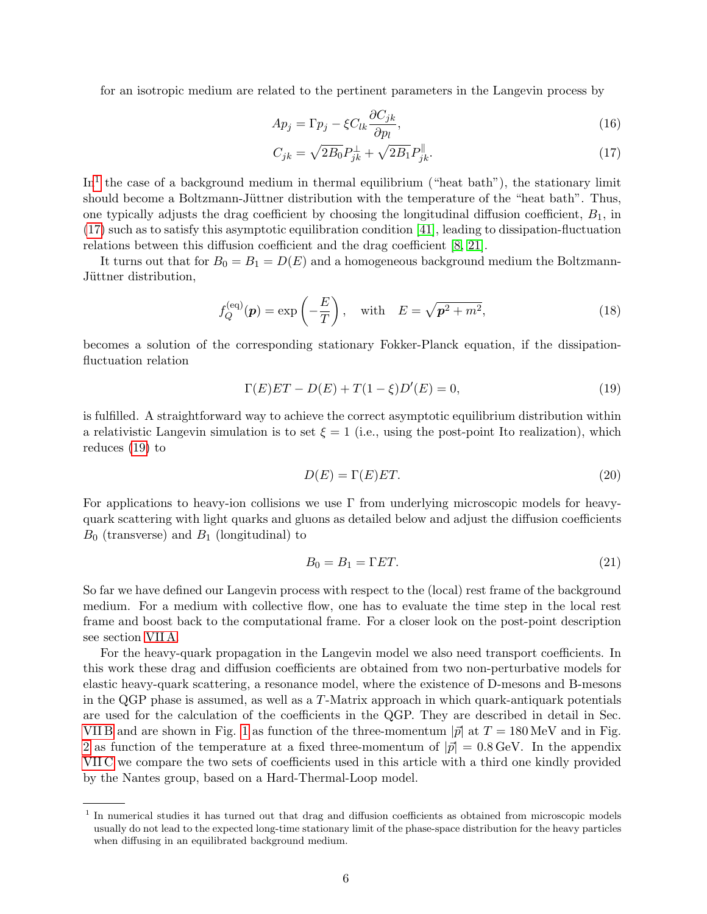for an isotropic medium are related to the pertinent parameters in the Langevin process by

$$
Ap_j = \Gamma p_j - \xi C_{lk} \frac{\partial C_{jk}}{\partial p_l},\tag{16}
$$

<span id="page-5-1"></span>
$$
C_{jk} = \sqrt{2B_0}P_{jk}^{\perp} + \sqrt{2B_1}P_{jk}^{\parallel}.
$$
\n(17)

In<sup>[1](#page-5-0)</sup> the case of a background medium in thermal equilibrium ("heat bath"), the stationary limit should become a Boltzmann-Jüttner distribution with the temperature of the "heat bath". Thus, one typically adjusts the drag coefficient by choosing the longitudinal diffusion coefficient,  $B_1$ , in [\(17\)](#page-5-1) such as to satisfy this asymptotic equilibration condition [\[41\]](#page-23-30), leading to dissipation-fluctuation relations between this diffusion coefficient and the drag coefficient [\[8,](#page-23-6) [21\]](#page-23-14).

It turns out that for  $B_0 = B_1 = D(E)$  and a homogeneous background medium the Boltzmann-Jüttner distribution,

<span id="page-5-2"></span>
$$
f_Q^{(\text{eq})}(\boldsymbol{p}) = \exp\left(-\frac{E}{T}\right), \quad \text{with} \quad E = \sqrt{\boldsymbol{p}^2 + m^2}, \tag{18}
$$

becomes a solution of the corresponding stationary Fokker-Planck equation, if the dissipationfluctuation relation

$$
\Gamma(E)ET - D(E) + T(1 - \xi)D'(E) = 0,
$$
\n(19)

is fulfilled. A straightforward way to achieve the correct asymptotic equilibrium distribution within a relativistic Langevin simulation is to set  $\xi = 1$  (i.e., using the post-point Ito realization), which reduces [\(19\)](#page-5-2) to

$$
D(E) = \Gamma(E)ET.
$$
\n(20)

For applications to heavy-ion collisions we use  $\Gamma$  from underlying microscopic models for heavyquark scattering with light quarks and gluons as detailed below and adjust the diffusion coefficients  $B_0$  (transverse) and  $B_1$  (longitudinal) to

<span id="page-5-3"></span>
$$
B_0 = B_1 = \Gamma ET. \tag{21}
$$

So far we have defined our Langevin process with respect to the (local) rest frame of the background medium. For a medium with collective flow, one has to evaluate the time step in the local rest frame and boost back to the computational frame. For a closer look on the post-point description see section [VII A.](#page-17-0)

For the heavy-quark propagation in the Langevin model we also need transport coefficients. In this work these drag and diffusion coefficients are obtained from two non-perturbative models for elastic heavy-quark scattering, a resonance model, where the existence of D-mesons and B-mesons in the QGP phase is assumed, as well as a T-Matrix approach in which quark-antiquark potentials are used for the calculation of the coefficients in the QGP. They are described in detail in Sec. VIIB and are shown in Fig. [1](#page-6-0) as function of the three-momentum  $|\vec{p}|$  at  $T = 180 \,\text{MeV}$  and in Fig. [2](#page-6-1) as function of the temperature at a fixed three-momentum of  $|\vec{p}| = 0.8 \text{ GeV}$ . In the appendix [VII C](#page-19-0) we compare the two sets of coefficients used in this article with a third one kindly provided by the Nantes group, based on a Hard-Thermal-Loop model.

<span id="page-5-0"></span><sup>1</sup> In numerical studies it has turned out that drag and diffusion coefficients as obtained from microscopic models usually do not lead to the expected long-time stationary limit of the phase-space distribution for the heavy particles when diffusing in an equilibrated background medium.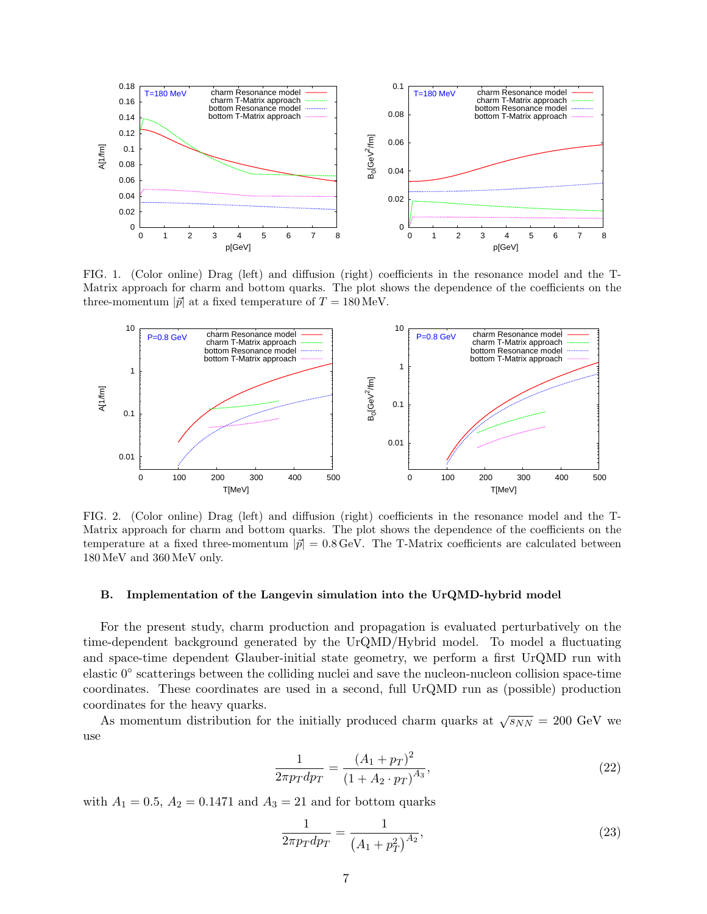

<span id="page-6-0"></span>FIG. 1. (Color online) Drag (left) and diffusion (right) coefficients in the resonance model and the T-Matrix approach for charm and bottom quarks. The plot shows the dependence of the coefficients on the three-momentum  $|\vec{p}|$  at a fixed temperature of  $T = 180 \,\text{MeV}$ .



<span id="page-6-1"></span>FIG. 2. (Color online) Drag (left) and diffusion (right) coefficients in the resonance model and the T-Matrix approach for charm and bottom quarks. The plot shows the dependence of the coefficients on the temperature at a fixed three-momentum  $|\vec{p}| = 0.8 \,\text{GeV}$ . The T-Matrix coefficients are calculated between 180 MeV and 360 MeV only.

# B. Implementation of the Langevin simulation into the UrQMD-hybrid model

For the present study, charm production and propagation is evaluated perturbatively on the time-dependent background generated by the UrQMD/Hybrid model. To model a fluctuating and space-time dependent Glauber-initial state geometry, we perform a first UrQMD run with elastic 0◦ scatterings between the colliding nuclei and save the nucleon-nucleon collision space-time coordinates. These coordinates are used in a second, full UrQMD run as (possible) production coordinates for the heavy quarks.

As momentum distribution for the initially produced charm quarks at  $\sqrt{s_{NN}} = 200 \text{ GeV}$  we use

$$
\frac{1}{2\pi p_T dp_T} = \frac{(A_1 + p_T)^2}{(1 + A_2 \cdot p_T)^{A_3}},\tag{22}
$$

with  $A_1 = 0.5$ ,  $A_2 = 0.1471$  and  $A_3 = 21$  and for bottom quarks

$$
\frac{1}{2\pi p_T dp_T} = \frac{1}{\left(A_1 + p_T^2\right)^{A_2}},\tag{23}
$$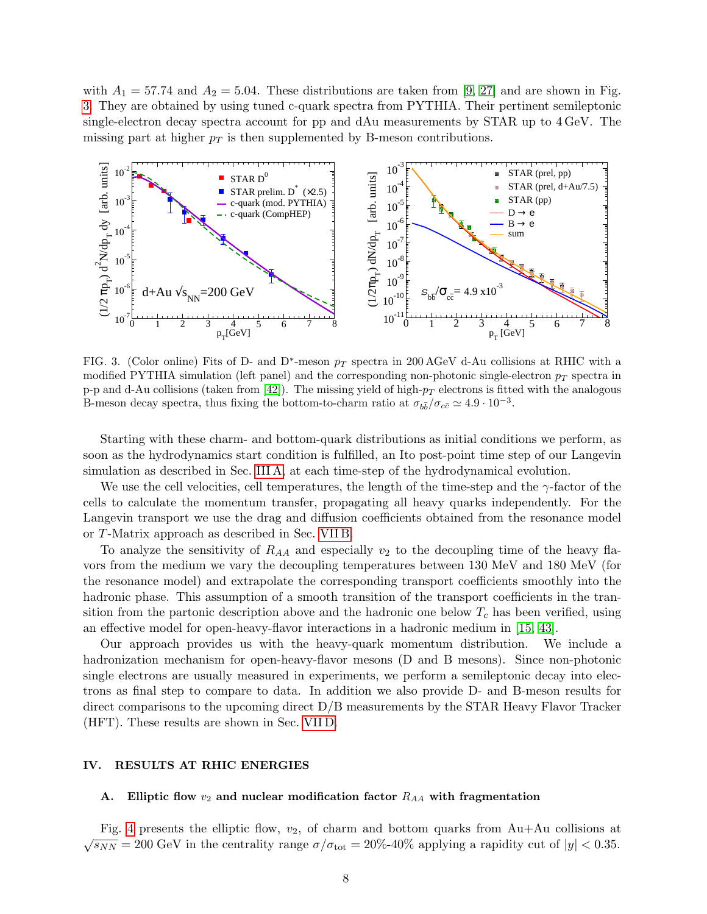with  $A_1 = 57.74$  and  $A_2 = 5.04$ . These distributions are taken from [\[9,](#page-23-18) [27\]](#page-23-17) and are shown in Fig. [3.](#page-7-0) They are obtained by using tuned c-quark spectra from PYTHIA. Their pertinent semileptonic single-electron decay spectra account for pp and dAu measurements by STAR up to 4 GeV. The missing part at higher  $p_T$  is then supplemented by B-meson contributions.



<span id="page-7-0"></span>FIG. 3. (Color online) Fits of D- and D<sup>\*</sup>-meson  $p_T$  spectra in 200 AGeV d-Au collisions at RHIC with a modified PYTHIA simulation (left panel) and the corresponding non-photonic single-electron  $p_T$  spectra in p-p and d-Au collisions (taken from [\[42\]](#page-23-31)). The missing yield of high- $p_T$  electrons is fitted with the analogous B-meson decay spectra, thus fixing the bottom-to-charm ratio at  $\sigma_{b\bar{b}}/\sigma_{c\bar{c}} \simeq 4.9 \cdot 10^{-3}$ .

Starting with these charm- and bottom-quark distributions as initial conditions we perform, as soon as the hydrodynamics start condition is fulfilled, an Ito post-point time step of our Langevin simulation as described in Sec. [III A,](#page-3-3) at each time-step of the hydrodynamical evolution.

We use the cell velocities, cell temperatures, the length of the time-step and the  $\gamma$ -factor of the cells to calculate the momentum transfer, propagating all heavy quarks independently. For the Langevin transport we use the drag and diffusion coefficients obtained from the resonance model or T-Matrix approach as described in Sec. [VII B.](#page-17-1)

To analyze the sensitivity of  $R_{AA}$  and especially  $v_2$  to the decoupling time of the heavy flavors from the medium we vary the decoupling temperatures between 130 MeV and 180 MeV (for the resonance model) and extrapolate the corresponding transport coefficients smoothly into the hadronic phase. This assumption of a smooth transition of the transport coefficients in the transition from the partonic description above and the hadronic one below  $T_c$  has been verified, using an effective model for open-heavy-flavor interactions in a hadronic medium in [\[15,](#page-23-8) [43\]](#page-23-32).

Our approach provides us with the heavy-quark momentum distribution. We include a hadronization mechanism for open-heavy-flavor mesons (D and B mesons). Since non-photonic single electrons are usually measured in experiments, we perform a semileptonic decay into electrons as final step to compare to data. In addition we also provide D- and B-meson results for direct comparisons to the upcoming direct D/B measurements by the STAR Heavy Flavor Tracker (HFT). These results are shown in Sec. [VII D.](#page-20-0)

# IV. RESULTS AT RHIC ENERGIES

### A. Elliptic flow  $v_2$  and nuclear modification factor  $R_{AA}$  with fragmentation

Fig. [4](#page-8-0) presents the elliptic flow,  $v_2$ , of charm and bottom quarks from Au+Au collisions at  $\sqrt{s_{NN}}$  = 200 GeV in the centrality range  $\sigma/\sigma_{\text{tot}}$  = 20%-40% applying a rapidity cut of  $|y|$  < 0.35.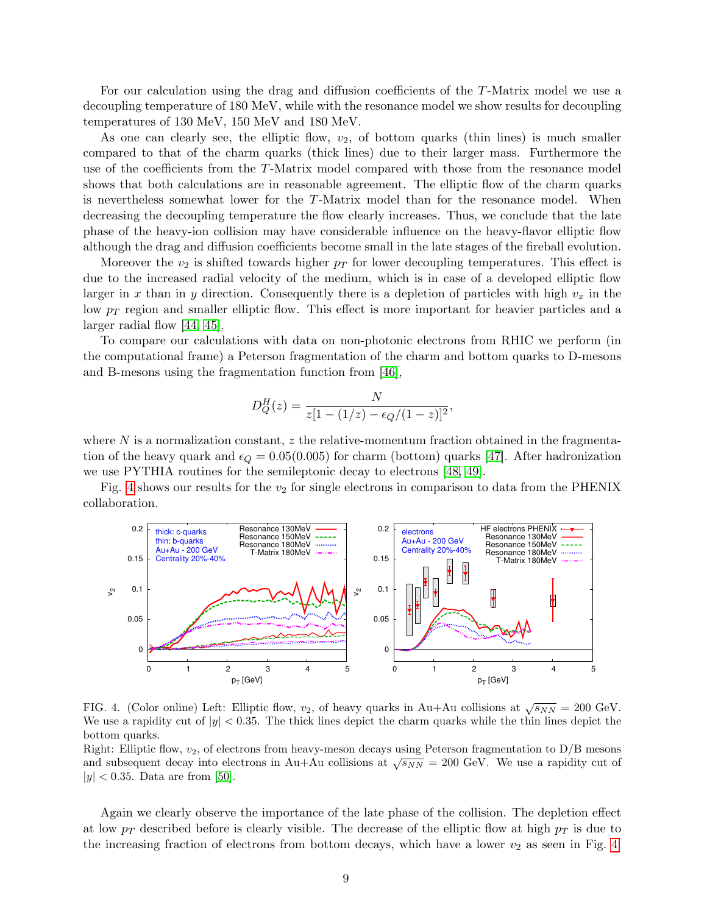For our calculation using the drag and diffusion coefficients of the T-Matrix model we use a decoupling temperature of 180 MeV, while with the resonance model we show results for decoupling temperatures of 130 MeV, 150 MeV and 180 MeV.

As one can clearly see, the elliptic flow,  $v_2$ , of bottom quarks (thin lines) is much smaller compared to that of the charm quarks (thick lines) due to their larger mass. Furthermore the use of the coefficients from the T-Matrix model compared with those from the resonance model shows that both calculations are in reasonable agreement. The elliptic flow of the charm quarks is nevertheless somewhat lower for the T-Matrix model than for the resonance model. When decreasing the decoupling temperature the flow clearly increases. Thus, we conclude that the late phase of the heavy-ion collision may have considerable influence on the heavy-flavor elliptic flow although the drag and diffusion coefficients become small in the late stages of the fireball evolution.

Moreover the  $v_2$  is shifted towards higher  $p_T$  for lower decoupling temperatures. This effect is due to the increased radial velocity of the medium, which is in case of a developed elliptic flow larger in x than in y direction. Consequently there is a depletion of particles with high  $v_x$  in the low  $p_T$  region and smaller elliptic flow. This effect is more important for heavier particles and a larger radial flow [\[44,](#page-23-33) [45\]](#page-23-34).

To compare our calculations with data on non-photonic electrons from RHIC we perform (in the computational frame) a Peterson fragmentation of the charm and bottom quarks to D-mesons and B-mesons using the fragmentation function from [\[46\]](#page-23-35),

$$
D_Q^H(z) = \frac{N}{z[1 - (1/z) - \epsilon_Q/(1-z)]^2},
$$

where  $N$  is a normalization constant,  $z$  the relative-momentum fraction obtained in the fragmentation of the heavy quark and  $\epsilon_Q = 0.05(0.005)$  for charm (bottom) quarks [\[47\]](#page-23-36). After hadronization we use PYTHIA routines for the semileptonic decay to electrons [\[48,](#page-24-0) [49\]](#page-24-1).

Fig. [4](#page-8-0) shows our results for the  $v_2$  for single electrons in comparison to data from the PHENIX collaboration.



<span id="page-8-0"></span>FIG. 4. (Color online) Left: Elliptic flow,  $v_2$ , of heavy quarks in Au+Au collisions at  $\sqrt{s_{NN}} = 200$  GeV. We use a rapidity cut of  $|y| < 0.35$ . The thick lines depict the charm quarks while the thin lines depict the bottom quarks.

Right: Elliptic flow,  $v_2$ , of electrons from heavy-meson decays using Peterson fragmentation to  $D/B$  mesons and subsequent decay into electrons in Au+Au collisions at  $\sqrt{s_{NN}}$  = 200 GeV. We use a rapidity cut of  $|y| < 0.35$ . Data are from [\[50\]](#page-24-2).

Again we clearly observe the importance of the late phase of the collision. The depletion effect at low  $p_T$  described before is clearly visible. The decrease of the elliptic flow at high  $p_T$  is due to the increasing fraction of electrons from bottom decays, which have a lower  $v_2$  as seen in Fig. [4.](#page-8-0)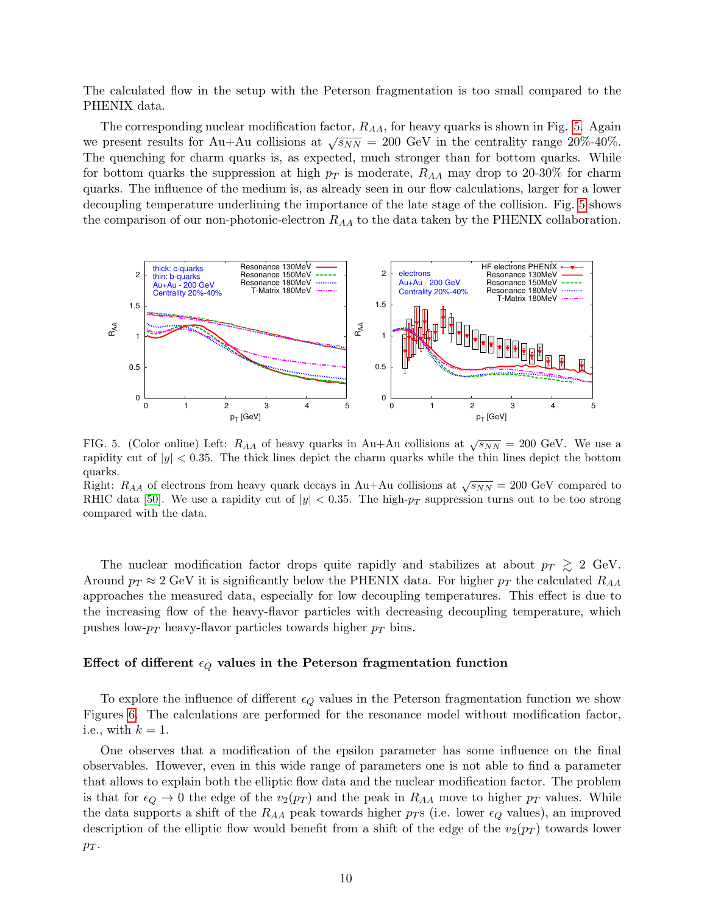The calculated flow in the setup with the Peterson fragmentation is too small compared to the PHENIX data.

The corresponding nuclear modification factor,  $R_{AA}$ , for heavy quarks is shown in Fig. [5.](#page-9-0) Again we present results for Au+Au collisions at  $\sqrt{s_{NN}} = 200 \text{ GeV}$  in the centrality range 20%-40%. The quenching for charm quarks is, as expected, much stronger than for bottom quarks. While for bottom quarks the suppression at high  $p_T$  is moderate,  $R_{AA}$  may drop to 20-30% for charm quarks. The influence of the medium is, as already seen in our flow calculations, larger for a lower decoupling temperature underlining the importance of the late stage of the collision. Fig. [5](#page-9-0) shows the comparison of our non-photonic-electron  $R_{AA}$  to the data taken by the PHENIX collaboration.



<span id="page-9-0"></span>FIG. 5. (Color online) Left:  $R_{AA}$  of heavy quarks in Au+Au collisions at  $\sqrt{s_{NN}} = 200$  GeV. We use a rapidity cut of  $|y| < 0.35$ . The thick lines depict the charm quarks while the thin lines depict the bottom quarks.

Right:  $R_{AA}$  of electrons from heavy quark decays in Au+Au collisions at  $\sqrt{s_{NN}} = 200$  GeV compared to RHIC data [\[50\]](#page-24-2). We use a rapidity cut of  $|y| < 0.35$ . The high- $p_T$  suppression turns out to be too strong compared with the data.

The nuclear modification factor drops quite rapidly and stabilizes at about  $p_T \gtrsim 2$  GeV. Around  $p_T \approx 2$  GeV it is significantly below the PHENIX data. For higher  $p_T$  the calculated  $R_{AA}$ approaches the measured data, especially for low decoupling temperatures. This effect is due to the increasing flow of the heavy-flavor particles with decreasing decoupling temperature, which pushes low- $p_T$  heavy-flavor particles towards higher  $p_T$  bins.

### Effect of different  $\epsilon_Q$  values in the Peterson fragmentation function

To explore the influence of different  $\epsilon_Q$  values in the Peterson fragmentation function we show Figures [6.](#page-10-0) The calculations are performed for the resonance model without modification factor, i.e., with  $k = 1$ .

One observes that a modification of the epsilon parameter has some influence on the final observables. However, even in this wide range of parameters one is not able to find a parameter that allows to explain both the elliptic flow data and the nuclear modification factor. The problem is that for  $\epsilon_Q \to 0$  the edge of the  $v_2(p_T)$  and the peak in  $R_{AA}$  move to higher  $p_T$  values. While the data supports a shift of the  $R_{AA}$  peak towards higher  $p_T$ s (i.e. lower  $\epsilon_Q$  values), an improved description of the elliptic flow would benefit from a shift of the edge of the  $v_2(p_T)$  towards lower  $p_T$ .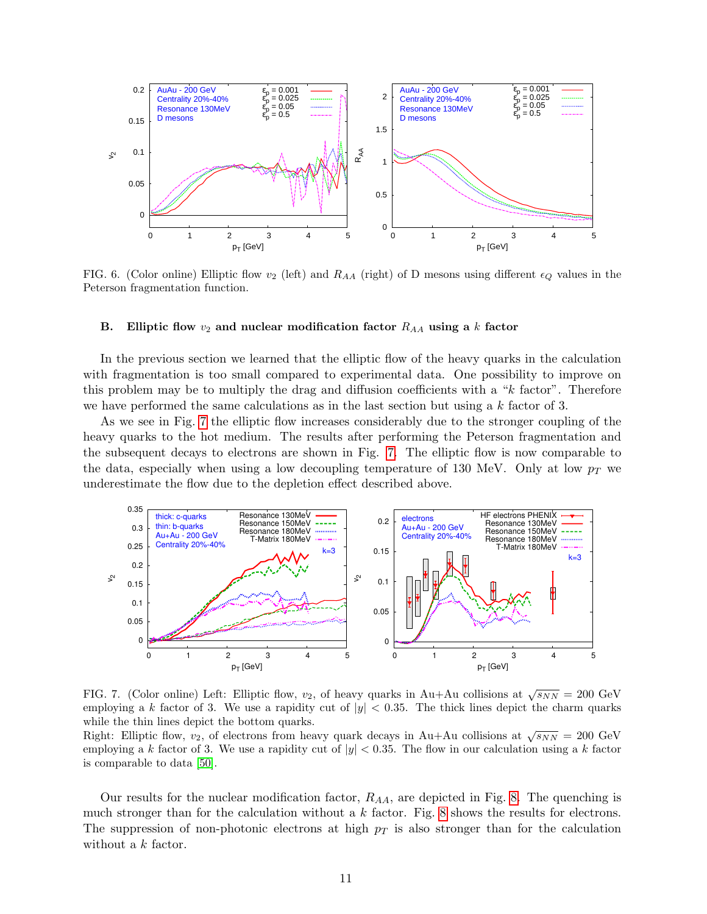

<span id="page-10-0"></span>FIG. 6. (Color online) Elliptic flow  $v_2$  (left) and  $R_{AA}$  (right) of D mesons using different  $\epsilon_Q$  values in the Peterson fragmentation function.

# B. Elliptic flow  $v_2$  and nuclear modification factor  $R_{AA}$  using a k factor

In the previous section we learned that the elliptic flow of the heavy quarks in the calculation with fragmentation is too small compared to experimental data. One possibility to improve on this problem may be to multiply the drag and diffusion coefficients with a "k factor". Therefore we have performed the same calculations as in the last section but using a  $k$  factor of 3.

As we see in Fig. [7](#page-10-1) the elliptic flow increases considerably due to the stronger coupling of the heavy quarks to the hot medium. The results after performing the Peterson fragmentation and the subsequent decays to electrons are shown in Fig. [7.](#page-10-1) The elliptic flow is now comparable to the data, especially when using a low decoupling temperature of 130 MeV. Only at low  $p_T$  we underestimate the flow due to the depletion effect described above.



<span id="page-10-1"></span>FIG. 7. (Color online) Left: Elliptic flow,  $v_2$ , of heavy quarks in Au+Au collisions at  $\sqrt{s_{NN}} = 200 \text{ GeV}$ employing a k factor of 3. We use a rapidity cut of  $|y| < 0.35$ . The thick lines depict the charm quarks while the thin lines depict the bottom quarks.

while the time integral the bottom quarks.<br>Right: Elliptic flow,  $v_2$ , of electrons from heavy quark decays in Au+Au collisions at  $\sqrt{s_{NN}} = 200 \text{ GeV}$ employing a k factor of 3. We use a rapidity cut of  $|y| < 0.35$ . The flow in our calculation using a k factor is comparable to data [\[50\]](#page-24-2).

Our results for the nuclear modification factor,  $R_{AA}$ , are depicted in Fig. [8.](#page-11-0) The quenching is much stronger than for the calculation without a  $k$  factor. Fig. [8](#page-11-0) shows the results for electrons. The suppression of non-photonic electrons at high  $p<sub>T</sub>$  is also stronger than for the calculation without a k factor.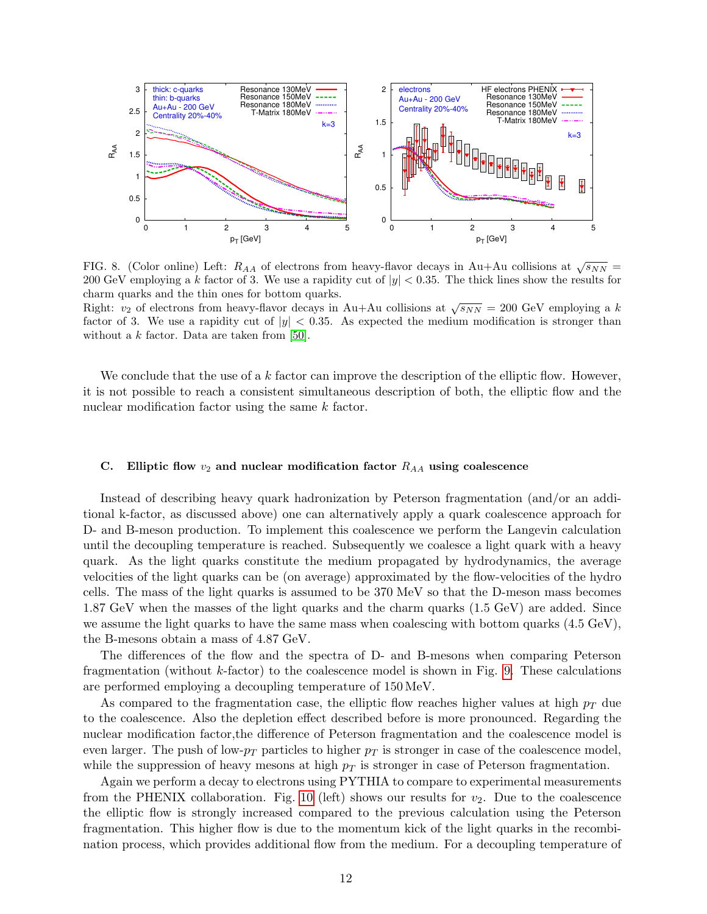

<span id="page-11-0"></span>FIG. 8. (Color online) Left:  $R_{AA}$  of electrons from heavy-flavor decays in Au+Au collisions at  $\sqrt{s_{NN}}$  = 200 GeV employing a k factor of 3. We use a rapidity cut of  $|y| < 0.35$ . The thick lines show the results for charm quarks and the thin ones for bottom quarks.

Right:  $v_2$  of electrons from heavy-flavor decays in Au+Au collisions at  $\sqrt{s_{NN}} = 200$  GeV employing a k factor of 3. We use a rapidity cut of  $|y| < 0.35$ . As expected the medium modification is stronger than without a  $k$  factor. Data are taken from [\[50\]](#page-24-2).

We conclude that the use of a k factor can improve the description of the elliptic flow. However, it is not possible to reach a consistent simultaneous description of both, the elliptic flow and the nuclear modification factor using the same k factor.

# C. Elliptic flow  $v_2$  and nuclear modification factor  $R_{AA}$  using coalescence

Instead of describing heavy quark hadronization by Peterson fragmentation (and/or an additional k-factor, as discussed above) one can alternatively apply a quark coalescence approach for D- and B-meson production. To implement this coalescence we perform the Langevin calculation until the decoupling temperature is reached. Subsequently we coalesce a light quark with a heavy quark. As the light quarks constitute the medium propagated by hydrodynamics, the average velocities of the light quarks can be (on average) approximated by the flow-velocities of the hydro cells. The mass of the light quarks is assumed to be 370 MeV so that the D-meson mass becomes 1.87 GeV when the masses of the light quarks and the charm quarks (1.5 GeV) are added. Since we assume the light quarks to have the same mass when coalescing with bottom quarks (4.5 GeV), the B-mesons obtain a mass of 4.87 GeV.

The differences of the flow and the spectra of D- and B-mesons when comparing Peterson fragmentation (without  $k$ -factor) to the coalescence model is shown in Fig. [9.](#page-12-0) These calculations are performed employing a decoupling temperature of 150 MeV.

As compared to the fragmentation case, the elliptic flow reaches higher values at high  $p_T$  due to the coalescence. Also the depletion effect described before is more pronounced. Regarding the nuclear modification factor,the difference of Peterson fragmentation and the coalescence model is even larger. The push of low- $p_T$  particles to higher  $p_T$  is stronger in case of the coalescence model, while the suppression of heavy mesons at high  $p<sub>T</sub>$  is stronger in case of Peterson fragmentation.

Again we perform a decay to electrons using PYTHIA to compare to experimental measurements from the PHENIX collaboration. Fig. [10](#page-12-1) (left) shows our results for  $v_2$ . Due to the coalescence the elliptic flow is strongly increased compared to the previous calculation using the Peterson fragmentation. This higher flow is due to the momentum kick of the light quarks in the recombination process, which provides additional flow from the medium. For a decoupling temperature of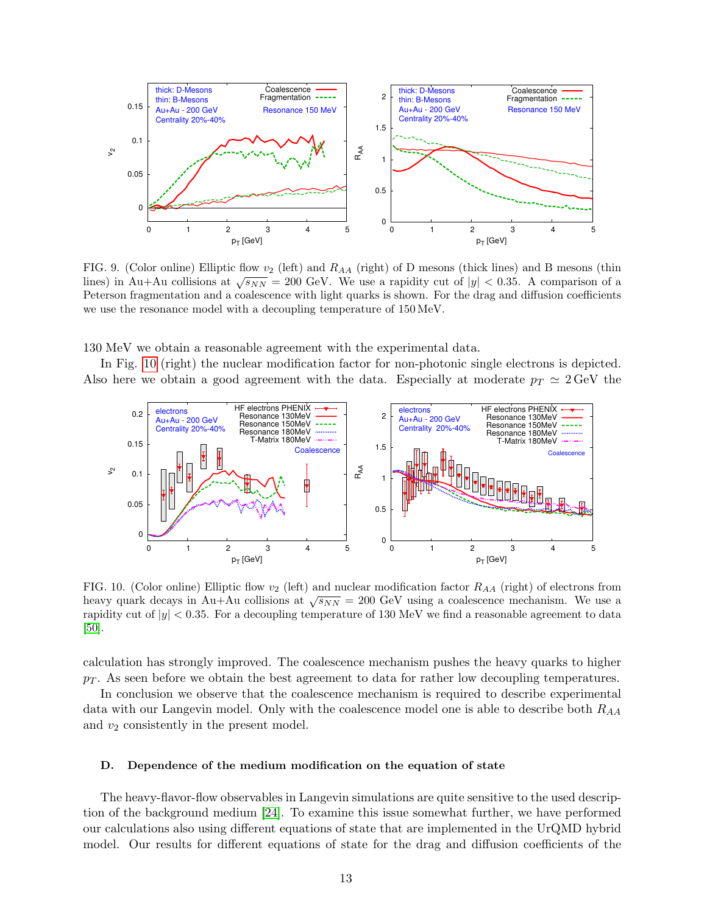

<span id="page-12-0"></span>FIG. 9. (Color online) Elliptic flow  $v_2$  (left) and  $R_{AA}$  (right) of D mesons (thick lines) and B mesons (thin lines) in Au+Au collisions at  $\sqrt{s_{NN}} = 200$  GeV. We use a rapidity cut of  $|y| < 0.35$ . A comparison of a Peterson fragmentation and a coalescence with light quarks is shown. For the drag and diffusion coefficients we use the resonance model with a decoupling temperature of 150 MeV.

130 MeV we obtain a reasonable agreement with the experimental data.

In Fig. [10](#page-12-1) (right) the nuclear modification factor for non-photonic single electrons is depicted. Also here we obtain a good agreement with the data. Especially at moderate  $p_T \simeq 2 \,\text{GeV}$  the



<span id="page-12-1"></span>FIG. 10. (Color online) Elliptic flow  $v_2$  (left) and nuclear modification factor  $R_{AA}$  (right) of electrons from heavy quark decays in Au+Au collisions at  $\sqrt{s_{NN}} = 200$  GeV using a coalescence mechanism. We use a rapidity cut of  $|y| < 0.35$ . For a decoupling temperature of 130 MeV we find a reasonable agreement to data [\[50\]](#page-24-2).

calculation has strongly improved. The coalescence mechanism pushes the heavy quarks to higher  $p_T$ . As seen before we obtain the best agreement to data for rather low decoupling temperatures.

In conclusion we observe that the coalescence mechanism is required to describe experimental data with our Langevin model. Only with the coalescence model one is able to describe both  $R_{AA}$ and  $v_2$  consistently in the present model.

### <span id="page-12-2"></span>D. Dependence of the medium modification on the equation of state

The heavy-flavor-flow observables in Langevin simulations are quite sensitive to the used description of the background medium [\[24\]](#page-23-37). To examine this issue somewhat further, we have performed our calculations also using different equations of state that are implemented in the UrQMD hybrid model. Our results for different equations of state for the drag and diffusion coefficients of the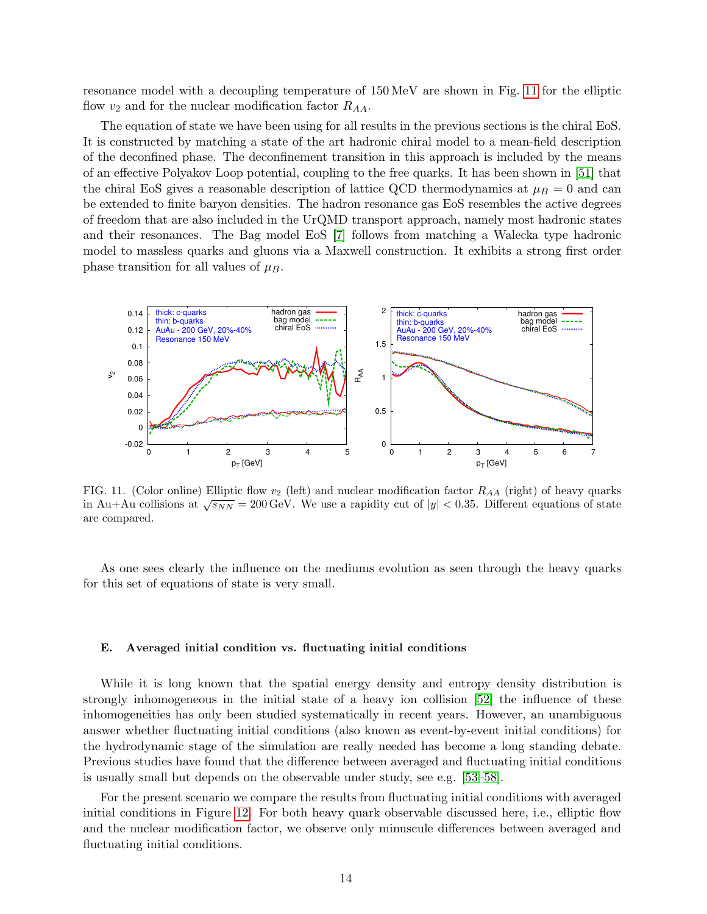resonance model with a decoupling temperature of 150 MeV are shown in Fig. [11](#page-13-0) for the elliptic flow  $v_2$  and for the nuclear modification factor  $R_{AA}$ .

The equation of state we have been using for all results in the previous sections is the chiral EoS. It is constructed by matching a state of the art hadronic chiral model to a mean-field description of the deconfined phase. The deconfinement transition in this approach is included by the means of an effective Polyakov Loop potential, coupling to the free quarks. It has been shown in [\[51\]](#page-24-3) that the chiral EoS gives a reasonable description of lattice QCD thermodynamics at  $\mu_B = 0$  and can be extended to finite baryon densities. The hadron resonance gas EoS resembles the active degrees of freedom that are also included in the UrQMD transport approach, namely most hadronic states and their resonances. The Bag model EoS [\[7\]](#page-23-5) follows from matching a Walecka type hadronic model to massless quarks and gluons via a Maxwell construction. It exhibits a strong first order phase transition for all values of  $\mu_B$ .



<span id="page-13-0"></span>FIG. 11. (Color online) Elliptic flow  $v_2$  (left) and nuclear modification factor  $R_{AA}$  (right) of heavy quarks in Au+Au collisions at  $\sqrt{s_{NN}}$  = 200 GeV. We use a rapidity cut of  $|y|$  < 0.35. Different equations of state are compared.

As one sees clearly the influence on the mediums evolution as seen through the heavy quarks for this set of equations of state is very small.

## E. Averaged initial condition vs. fluctuating initial conditions

While it is long known that the spatial energy density and entropy density distribution is strongly inhomogeneous in the initial state of a heavy ion collision [\[52\]](#page-24-4) the influence of these inhomogeneities has only been studied systematically in recent years. However, an unambiguous answer whether fluctuating initial conditions (also known as event-by-event initial conditions) for the hydrodynamic stage of the simulation are really needed has become a long standing debate. Previous studies have found that the difference between averaged and fluctuating initial conditions is usually small but depends on the observable under study, see e.g. [\[53–](#page-24-5)[58\]](#page-24-6).

For the present scenario we compare the results from fluctuating initial conditions with averaged initial conditions in Figure [12.](#page-14-0) For both heavy quark observable discussed here, i.e., elliptic flow and the nuclear modification factor, we observe only minuscule differences between averaged and fluctuating initial conditions.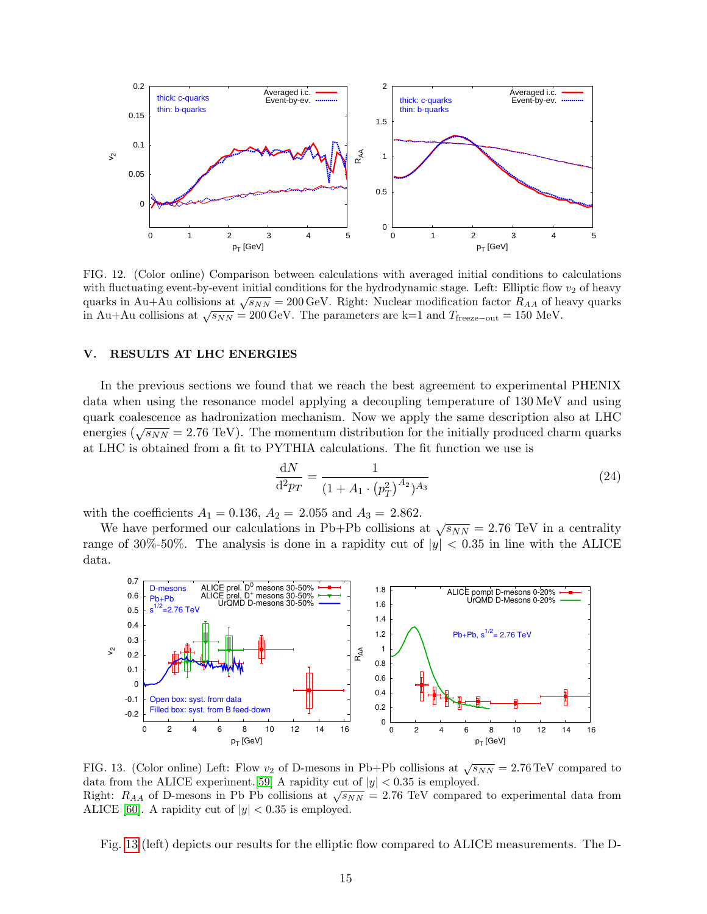

<span id="page-14-0"></span>FIG. 12. (Color online) Comparison between calculations with averaged initial conditions to calculations with fluctuating event-by-event initial conditions for the hydrodynamic stage. Left: Elliptic flow  $v_2$  of heavy with nuclearing event-by-event initial conditions for the hydrodynamic stage. Left: Empire how  $v_2$  of heavy quarks in Au+Au collisions at  $\sqrt{s_{NN}}$  = 200 GeV. Right: Nuclear modification factor  $R_{AA}$  of heavy quarks quarks in Au+Au collisions at  $\sqrt{s_{NN}} = 200 \,\text{GeV}$ . The parameters are k=1 and  $T_{\text{freeze-out}} = 150 \,\text{MeV}$ .

### V. RESULTS AT LHC ENERGIES

In the previous sections we found that we reach the best agreement to experimental PHENIX data when using the resonance model applying a decoupling temperature of 130 MeV and using quark coalescence as hadronization mechanism. Now we apply the same description also at LHC energies ( $\sqrt{s_{NN}}$  = 2.76 TeV). The momentum distribution for the initially produced charm quarks at LHC is obtained from a fit to PYTHIA calculations. The fit function we use is

$$
\frac{\mathrm{d}N}{\mathrm{d}^2 p_T} = \frac{1}{(1 + A_1 \cdot (p_T^2)^{A_2})^{A_3}}\tag{24}
$$

with the coefficients  $A_1 = 0.136$ ,  $A_2 = 2.055$  and  $A_3 = 2.862$ .

We have performed our calculations in Pb+Pb collisions at  $\sqrt{s_{NN}} = 2.76$  TeV in a centrality range of 30%-50%. The analysis is done in a rapidity cut of  $|y| < 0.35$  in line with the ALICE data.



<span id="page-14-1"></span>FIG. 13. (Color online) Left: Flow  $v_2$  of D-mesons in Pb+Pb collisions at  $\sqrt{s_{NN}} = 2.76 \text{ TeV}$  compared to data from the ALICE experiment. [\[59\]](#page-24-7) A rapidity cut of  $|y| < 0.35$  is employed. Right:  $R_{AA}$  of D-mesons in Pb Pb collisions at  $\sqrt{s_{NN}} = 2.76$  TeV compared to experimental data from ALICE [\[60\]](#page-24-8). A rapidity cut of  $|y| < 0.35$  is employed.

Fig. [13](#page-14-1) (left) depicts our results for the elliptic flow compared to ALICE measurements. The D-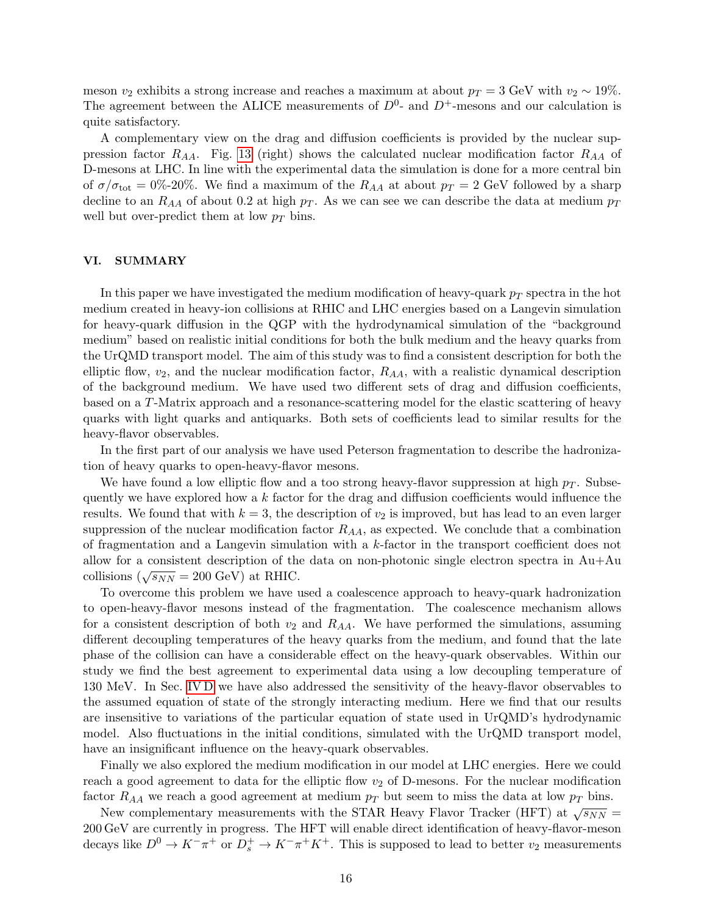meson  $v_2$  exhibits a strong increase and reaches a maximum at about  $p_T = 3$  GeV with  $v_2 \sim 19\%$ . The agreement between the ALICE measurements of  $D^0$ - and  $D^+$ -mesons and our calculation is quite satisfactory.

A complementary view on the drag and diffusion coefficients is provided by the nuclear suppression factor  $R_{AA}$ . Fig. [13](#page-14-1) (right) shows the calculated nuclear modification factor  $R_{AA}$  of D-mesons at LHC. In line with the experimental data the simulation is done for a more central bin of  $\sigma/\sigma_{\text{tot}} = 0\%$ -20%. We find a maximum of the  $R_{AA}$  at about  $p_T = 2$  GeV followed by a sharp decline to an  $R_{AA}$  of about 0.2 at high  $p_T$ . As we can see we can describe the data at medium  $p_T$ well but over-predict them at low  $p_T$  bins.

# VI. SUMMARY

In this paper we have investigated the medium modification of heavy-quark  $p_T$  spectra in the hot medium created in heavy-ion collisions at RHIC and LHC energies based on a Langevin simulation for heavy-quark diffusion in the QGP with the hydrodynamical simulation of the "background medium" based on realistic initial conditions for both the bulk medium and the heavy quarks from the UrQMD transport model. The aim of this study was to find a consistent description for both the elliptic flow,  $v_2$ , and the nuclear modification factor,  $R_{AA}$ , with a realistic dynamical description of the background medium. We have used two different sets of drag and diffusion coefficients, based on a T-Matrix approach and a resonance-scattering model for the elastic scattering of heavy quarks with light quarks and antiquarks. Both sets of coefficients lead to similar results for the heavy-flavor observables.

In the first part of our analysis we have used Peterson fragmentation to describe the hadronization of heavy quarks to open-heavy-flavor mesons.

We have found a low elliptic flow and a too strong heavy-flavor suppression at high  $p<sub>T</sub>$ . Subsequently we have explored how a  $k$  factor for the drag and diffusion coefficients would influence the results. We found that with  $k = 3$ , the description of  $v_2$  is improved, but has lead to an even larger suppression of the nuclear modification factor  $R_{AA}$ , as expected. We conclude that a combination of fragmentation and a Langevin simulation with a k-factor in the transport coefficient does not allow for a consistent description of the data on non-photonic single electron spectra in  $Au+Au$ collisions  $(\sqrt{s_{NN}} = 200 \text{ GeV})$  at RHIC.

To overcome this problem we have used a coalescence approach to heavy-quark hadronization to open-heavy-flavor mesons instead of the fragmentation. The coalescence mechanism allows for a consistent description of both  $v_2$  and  $R_{AA}$ . We have performed the simulations, assuming different decoupling temperatures of the heavy quarks from the medium, and found that the late phase of the collision can have a considerable effect on the heavy-quark observables. Within our study we find the best agreement to experimental data using a low decoupling temperature of 130 MeV. In Sec. [IV D](#page-12-2) we have also addressed the sensitivity of the heavy-flavor observables to the assumed equation of state of the strongly interacting medium. Here we find that our results are insensitive to variations of the particular equation of state used in UrQMD's hydrodynamic model. Also fluctuations in the initial conditions, simulated with the UrQMD transport model, have an insignificant influence on the heavy-quark observables.

Finally we also explored the medium modification in our model at LHC energies. Here we could reach a good agreement to data for the elliptic flow  $v_2$  of D-mesons. For the nuclear modification factor  $R_{AA}$  we reach a good agreement at medium  $p_T$  but seem to miss the data at low  $p_T$  bins.

New complementary measurements with the STAR Heavy Flavor Tracker (HFT) at  $\sqrt{s_{NN}}$  = 200 GeV are currently in progress. The HFT will enable direct identification of heavy-flavor-meson decays like  $D^0 \to K^-\pi^+$  or  $D_s^+ \to K^-\pi^+K^+$ . This is supposed to lead to better  $v_2$  measurements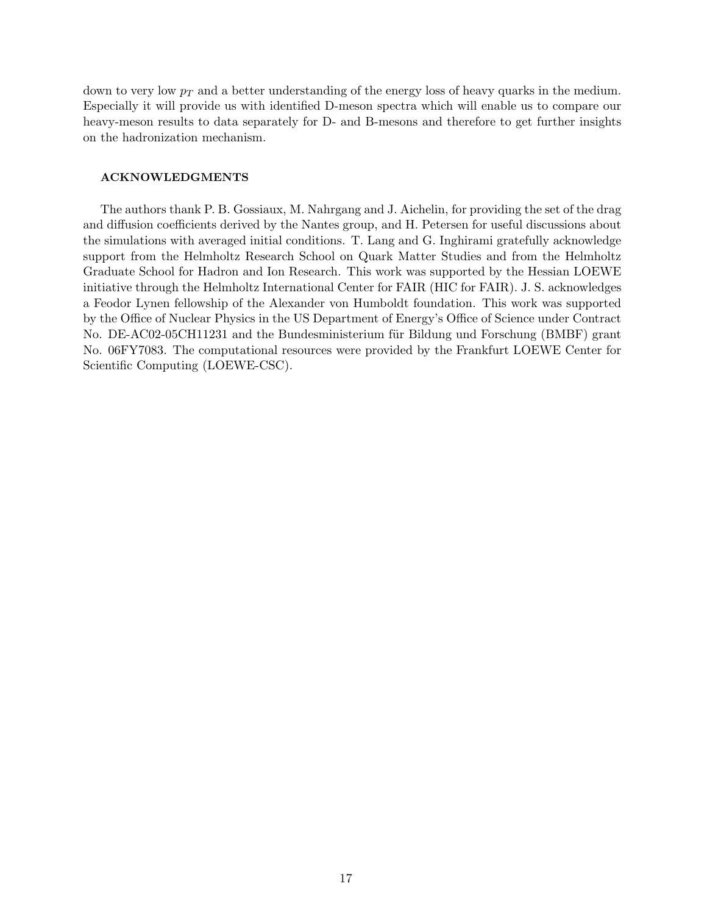down to very low  $p<sub>T</sub>$  and a better understanding of the energy loss of heavy quarks in the medium. Especially it will provide us with identified D-meson spectra which will enable us to compare our heavy-meson results to data separately for D- and B-mesons and therefore to get further insights on the hadronization mechanism.

# ACKNOWLEDGMENTS

The authors thank P. B. Gossiaux, M. Nahrgang and J. Aichelin, for providing the set of the drag and diffusion coefficients derived by the Nantes group, and H. Petersen for useful discussions about the simulations with averaged initial conditions. T. Lang and G. Inghirami gratefully acknowledge support from the Helmholtz Research School on Quark Matter Studies and from the Helmholtz Graduate School for Hadron and Ion Research. This work was supported by the Hessian LOEWE initiative through the Helmholtz International Center for FAIR (HIC for FAIR). J. S. acknowledges a Feodor Lynen fellowship of the Alexander von Humboldt foundation. This work was supported by the Office of Nuclear Physics in the US Department of Energy's Office of Science under Contract No. DE-AC02-05CH11231 and the Bundesministerium für Bildung und Forschung (BMBF) grant No. 06FY7083. The computational resources were provided by the Frankfurt LOEWE Center for Scientific Computing (LOEWE-CSC).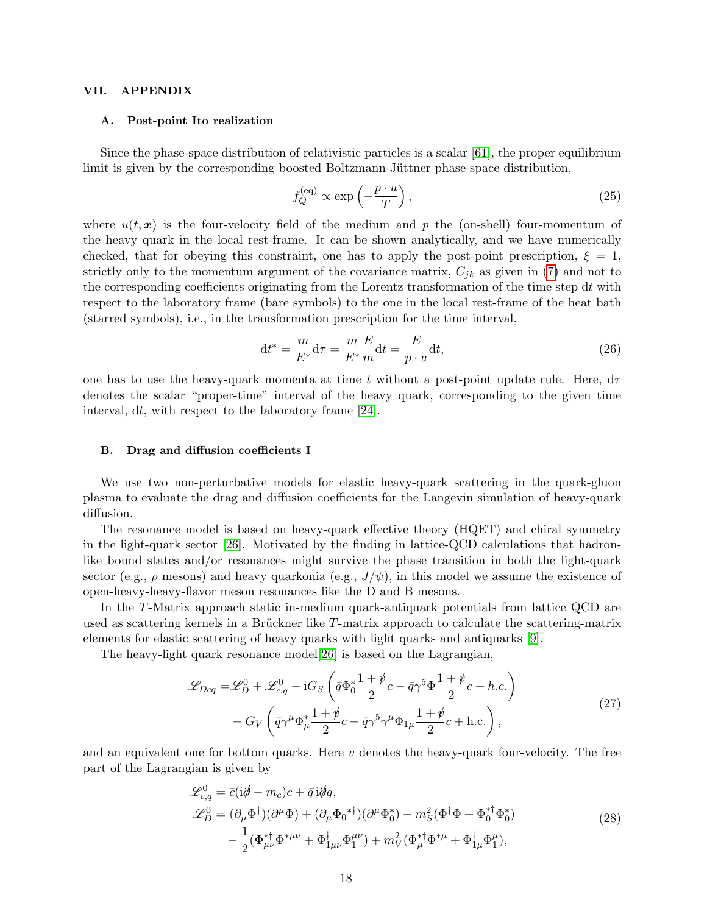### VII. APPENDIX

### <span id="page-17-0"></span>A. Post-point Ito realization

Since the phase-space distribution of relativistic particles is a scalar  $[61]$ , the proper equilibrium limit is given by the corresponding boosted Boltzmann-Jüttner phase-space distribution,

$$
f_Q^{(\text{eq})} \propto \exp\left(-\frac{p \cdot u}{T}\right),\tag{25}
$$

where  $u(t, x)$  is the four-velocity field of the medium and p the (on-shell) four-momentum of the heavy quark in the local rest-frame. It can be shown analytically, and we have numerically checked, that for obeying this constraint, one has to apply the post-point prescription,  $\xi = 1$ , strictly only to the momentum argument of the covariance matrix,  $C_{jk}$  as given in [\(7\)](#page-3-2) and not to the corresponding coefficients originating from the Lorentz transformation of the time step  $dt$  with respect to the laboratory frame (bare symbols) to the one in the local rest-frame of the heat bath (starred symbols), i.e., in the transformation prescription for the time interval,

$$
\mathrm{d}t^* = \frac{m}{E^*} \mathrm{d}\tau = \frac{m}{E^*} \frac{E}{m} \mathrm{d}t = \frac{E}{p \cdot u} \mathrm{d}t,\tag{26}
$$

one has to use the heavy-quark momenta at time t without a post-point update rule. Here,  $d\tau$ denotes the scalar "proper-time" interval of the heavy quark, corresponding to the given time interval, dt, with respect to the laboratory frame [\[24\]](#page-23-37).

### <span id="page-17-1"></span>B. Drag and diffusion coefficients I

We use two non-perturbative models for elastic heavy-quark scattering in the quark-gluon plasma to evaluate the drag and diffusion coefficients for the Langevin simulation of heavy-quark diffusion.

The resonance model is based on heavy-quark effective theory (HQET) and chiral symmetry in the light-quark sector [\[26\]](#page-23-16). Motivated by the finding in lattice-QCD calculations that hadronlike bound states and/or resonances might survive the phase transition in both the light-quark sector (e.g.,  $\rho$  mesons) and heavy quarkonia (e.g.,  $J/\psi$ ), in this model we assume the existence of open-heavy-heavy-flavor meson resonances like the D and B mesons.

In the T-Matrix approach static in-medium quark-antiquark potentials from lattice QCD are used as scattering kernels in a Brückner like T-matrix approach to calculate the scattering-matrix elements for elastic scattering of heavy quarks with light quarks and antiquarks [\[9\]](#page-23-18).

The heavy-light quark resonance model[\[26\]](#page-23-16) is based on the Lagrangian,

$$
\mathcal{L}_{Dcq} = \mathcal{L}_D^0 + \mathcal{L}_{c,q}^0 - iG_S \left( \bar{q} \Phi_0^* \frac{1+\psi}{2} c - \bar{q} \gamma^5 \Phi \frac{1+\psi}{2} c + h.c. \right) - G_V \left( \bar{q} \gamma^\mu \Phi_\mu^* \frac{1+\psi}{2} c - \bar{q} \gamma^5 \gamma^\mu \Phi_{1\mu} \frac{1+\psi}{2} c + h.c. \right),
$$
\n(27)

and an equivalent one for bottom quarks. Here  $v$  denotes the heavy-quark four-velocity. The free part of the Lagrangian is given by

$$
\mathcal{L}_{c,q}^{0} = \bar{c}(i\partial - m_c)c + \bar{q}i\partial q,
$$
  
\n
$$
\mathcal{L}_{D}^{0} = (\partial_{\mu}\Phi^{\dagger})(\partial^{\mu}\Phi) + (\partial_{\mu}\Phi_{0}^{* \dagger})(\partial^{\mu}\Phi_{0}^{*}) - m_{S}^{2}(\Phi^{\dagger}\Phi + \Phi_{0}^{* \dagger}\Phi_{0}^{*})
$$
  
\n
$$
- \frac{1}{2}(\Phi_{\mu\nu}^{* \dagger}\Phi^{*\mu\nu} + \Phi_{1\mu\nu}^{\dagger}\Phi_{1}^{\mu\nu}) + m_{V}^{2}(\Phi_{\mu}^{* \dagger}\Phi^{*\mu} + \Phi_{1\mu}^{\dagger}\Phi_{1}^{\mu}),
$$
\n(28)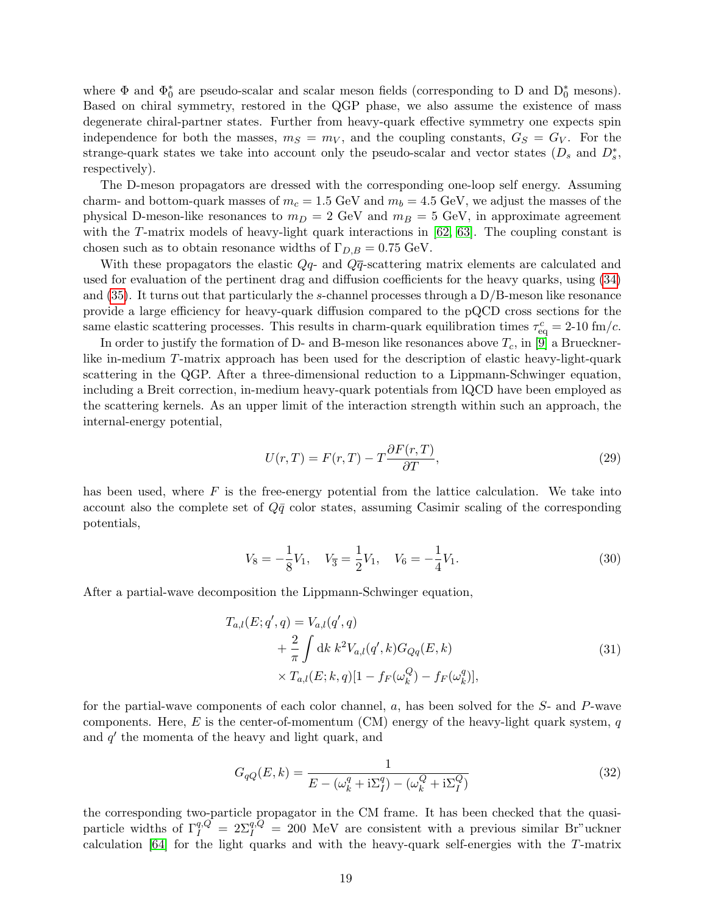where  $\Phi$  and  $\Phi_0^*$  are pseudo-scalar and scalar meson fields (corresponding to D and  $D_0^*$  mesons). Based on chiral symmetry, restored in the QGP phase, we also assume the existence of mass degenerate chiral-partner states. Further from heavy-quark effective symmetry one expects spin independence for both the masses,  $m<sub>S</sub> = m<sub>V</sub>$ , and the coupling constants,  $G<sub>S</sub> = G<sub>V</sub>$ . For the strange-quark states we take into account only the pseudo-scalar and vector states  $(D_s \text{ and } D_s^*$ , respectively).

The D-meson propagators are dressed with the corresponding one-loop self energy. Assuming charm- and bottom-quark masses of  $m_c = 1.5$  GeV and  $m_b = 4.5$  GeV, we adjust the masses of the physical D-meson-like resonances to  $m_D = 2$  GeV and  $m_B = 5$  GeV, in approximate agreement with the T-matrix models of heavy-light quark interactions in  $[62, 63]$  $[62, 63]$ . The coupling constant is chosen such as to obtain resonance widths of  $\Gamma_{D,B} = 0.75$  GeV.

With these propagators the elastic  $Q_q$ - and  $Q\bar{q}$ -scattering matrix elements are calculated and used for evaluation of the pertinent drag and diffusion coefficients for the heavy quarks, using [\(34\)](#page-19-1) and  $(35)$ . It turns out that particularly the s-channel processes through a  $D/B$ -meson like resonance provide a large efficiency for heavy-quark diffusion compared to the pQCD cross sections for the same elastic scattering processes. This results in charm-quark equilibration times  $\tau_{\text{eq}}^c = 2{\text -}10 \text{ fm}/c$ .

In order to justify the formation of D- and B-meson like resonances above  $T_c$ , in [\[9\]](#page-23-18) a Bruecknerlike in-medium T-matrix approach has been used for the description of elastic heavy-light-quark scattering in the QGP. After a three-dimensional reduction to a Lippmann-Schwinger equation, including a Breit correction, in-medium heavy-quark potentials from lQCD have been employed as the scattering kernels. As an upper limit of the interaction strength within such an approach, the internal-energy potential,

$$
U(r,T) = F(r,T) - T \frac{\partial F(r,T)}{\partial T},\qquad(29)
$$

has been used, where  $F$  is the free-energy potential from the lattice calculation. We take into account also the complete set of  $Q\bar{q}$  color states, assuming Casimir scaling of the corresponding potentials,

<span id="page-18-0"></span>
$$
V_8 = -\frac{1}{8}V_1, \quad V_{\overline{3}} = \frac{1}{2}V_1, \quad V_6 = -\frac{1}{4}V_1.
$$
\n(30)

After a partial-wave decomposition the Lippmann-Schwinger equation,

$$
T_{a,l}(E; q', q) = V_{a,l}(q', q)
$$
  
+  $\frac{2}{\pi} \int dk \, k^2 V_{a,l}(q', k) G_{Qq}(E, k)$   

$$
\times T_{a,l}(E; k, q)[1 - f_F(\omega_k^Q) - f_F(\omega_k^q)],
$$
 (31)

for the partial-wave components of each color channel, a, has been solved for the S- and P-wave components. Here, E is the center-of-momentum (CM) energy of the heavy-light quark system,  $q$ and  $q'$  the momenta of the heavy and light quark, and

$$
G_{qQ}(E,k) = \frac{1}{E - (\omega_k^q + i\Sigma_I^q) - (\omega_k^Q + i\Sigma_I^Q)}
$$
(32)

the corresponding two-particle propagator in the CM frame. It has been checked that the quasiparticle widths of  $\Gamma_I^{q,Q} = 2\Sigma_I^{q,Q} = 200$  MeV are consistent with a previous similar Br"uckner calculation [\[64\]](#page-24-12) for the light quarks and with the heavy-quark self-energies with the T-matrix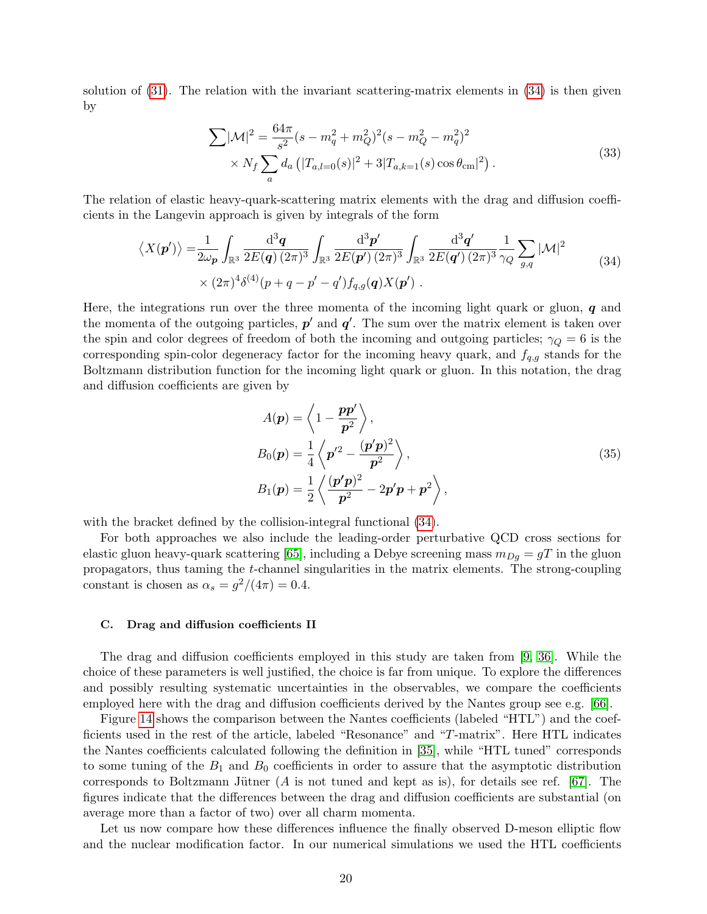solution of  $(31)$ . The relation with the invariant scattering-matrix elements in  $(34)$  is then given by

<span id="page-19-1"></span>
$$
\sum |\mathcal{M}|^2 = \frac{64\pi}{s^2} (s - m_q^2 + m_Q^2)^2 (s - m_Q^2 - m_q^2)^2
$$
  
 
$$
\times N_f \sum_a d_a \left( |T_{a,l=0}(s)|^2 + 3|T_{a,k=1}(s) \cos \theta_{\rm cm}|^2 \right).
$$
 (33)

The relation of elastic heavy-quark-scattering matrix elements with the drag and diffusion coefficients in the Langevin approach is given by integrals of the form

$$
\langle X(\mathbf{p}') \rangle = \frac{1}{2\omega_{\mathbf{p}}} \int_{\mathbb{R}^3} \frac{d^3 \mathbf{q}}{2E(\mathbf{q}) (2\pi)^3} \int_{\mathbb{R}^3} \frac{d^3 \mathbf{p}'}{2E(\mathbf{p}') (2\pi)^3} \int_{\mathbb{R}^3} \frac{d^3 \mathbf{q}'}{2E(\mathbf{q}') (2\pi)^3} \frac{1}{\gamma_Q} \sum_{g,q} |\mathcal{M}|^2 \times (2\pi)^4 \delta^{(4)}(p+q-p'-q') f_{q,g}(\mathbf{q}) X(\mathbf{p}') .
$$
\n(34)

Here, the integrations run over the three momenta of the incoming light quark or gluon,  $q$  and the momenta of the outgoing particles,  $p'$  and  $q'$ . The sum over the matrix element is taken over the spin and color degrees of freedom of both the incoming and outgoing particles;  $\gamma_Q = 6$  is the corresponding spin-color degeneracy factor for the incoming heavy quark, and  $f_{q,g}$  stands for the Boltzmann distribution function for the incoming light quark or gluon. In this notation, the drag and diffusion coefficients are given by

<span id="page-19-2"></span>
$$
A(\mathbf{p}) = \left\langle 1 - \frac{p\mathbf{p}'}{\mathbf{p}^2} \right\rangle,
$$
  
\n
$$
B_0(\mathbf{p}) = \frac{1}{4} \left\langle \mathbf{p}'^2 - \frac{(\mathbf{p}'\mathbf{p})^2}{\mathbf{p}^2} \right\rangle,
$$
  
\n
$$
B_1(\mathbf{p}) = \frac{1}{2} \left\langle \frac{(\mathbf{p}'\mathbf{p})^2}{\mathbf{p}^2} - 2\mathbf{p}'\mathbf{p} + \mathbf{p}^2 \right\rangle,
$$
\n(35)

with the bracket defined by the collision-integral functional  $(34)$ .

For both approaches we also include the leading-order perturbative QCD cross sections for elastic gluon heavy-quark scattering [\[65\]](#page-24-13), including a Debye screening mass  $m_{Dg} = gT$  in the gluon propagators, thus taming the t-channel singularities in the matrix elements. The strong-coupling constant is chosen as  $\alpha_s = g^2/(4\pi) = 0.4$ .

#### <span id="page-19-0"></span>C. Drag and diffusion coefficients II

The drag and diffusion coefficients employed in this study are taken from [\[9,](#page-23-18) [36\]](#page-23-38). While the choice of these parameters is well justified, the choice is far from unique. To explore the differences and possibly resulting systematic uncertainties in the observables, we compare the coefficients employed here with the drag and diffusion coefficients derived by the Nantes group see e.g. [\[66\]](#page-24-14).

Figure [14](#page-20-1) shows the comparison between the Nantes coefficients (labeled "HTL") and the coefficients used in the rest of the article, labeled "Resonance" and "T-matrix". Here HTL indicates the Nantes coefficients calculated following the definition in [\[35\]](#page-23-39), while "HTL tuned" corresponds to some tuning of the  $B_1$  and  $B_0$  coefficients in order to assure that the asymptotic distribution corresponds to Boltzmann Jütner (A is not tuned and kept as is), for details see ref. [\[67\]](#page-24-15). The figures indicate that the differences between the drag and diffusion coefficients are substantial (on average more than a factor of two) over all charm momenta.

Let us now compare how these differences influence the finally observed D-meson elliptic flow and the nuclear modification factor. In our numerical simulations we used the HTL coefficients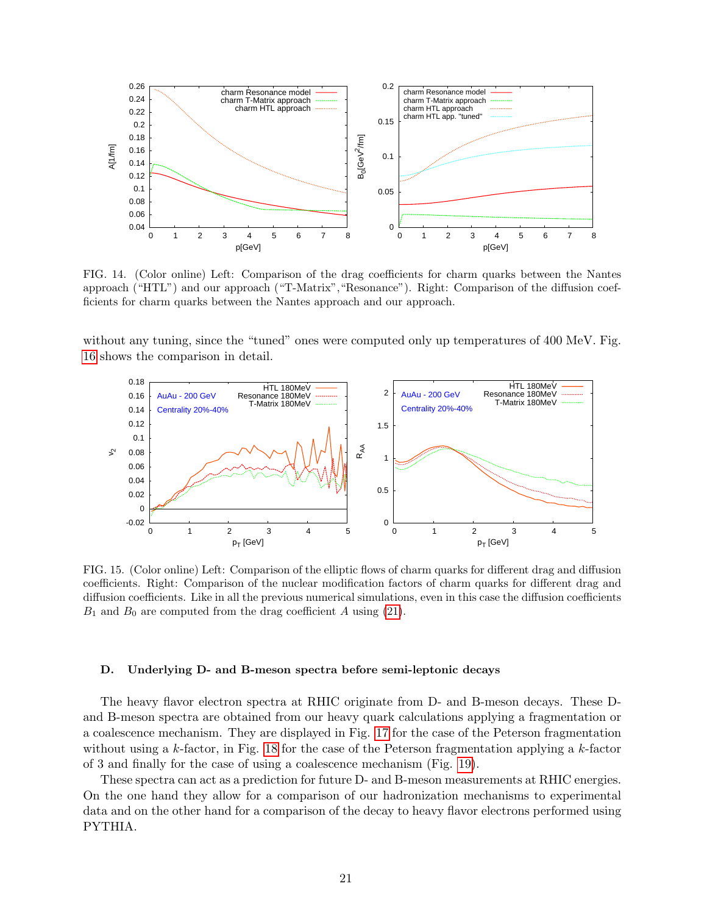

<span id="page-20-1"></span>FIG. 14. (Color online) Left: Comparison of the drag coefficients for charm quarks between the Nantes approach ("HTL") and our approach ("T-Matrix","Resonance"). Right: Comparison of the diffusion coefficients for charm quarks between the Nantes approach and our approach.

without any tuning, since the "tuned" ones were computed only up temperatures of 400 MeV. Fig. [16](#page-21-0) shows the comparison in detail.



FIG. 15. (Color online) Left: Comparison of the elliptic flows of charm quarks for different drag and diffusion coefficients. Right: Comparison of the nuclear modification factors of charm quarks for different drag and diffusion coefficients. Like in all the previous numerical simulations, even in this case the diffusion coefficients  $B_1$  and  $B_0$  are computed from the drag coefficient A using [\(21\)](#page-5-3).

#### <span id="page-20-0"></span>D. Underlying D- and B-meson spectra before semi-leptonic decays

The heavy flavor electron spectra at RHIC originate from D- and B-meson decays. These Dand B-meson spectra are obtained from our heavy quark calculations applying a fragmentation or a coalescence mechanism. They are displayed in Fig. [17](#page-21-1) for the case of the Peterson fragmentation without using a  $k$ -factor, in Fig. [18](#page-21-2) for the case of the Peterson fragmentation applying a  $k$ -factor of 3 and finally for the case of using a coalescence mechanism (Fig. [19\)](#page-22-0).

These spectra can act as a prediction for future D- and B-meson measurements at RHIC energies. On the one hand they allow for a comparison of our hadronization mechanisms to experimental data and on the other hand for a comparison of the decay to heavy flavor electrons performed using PYTHIA.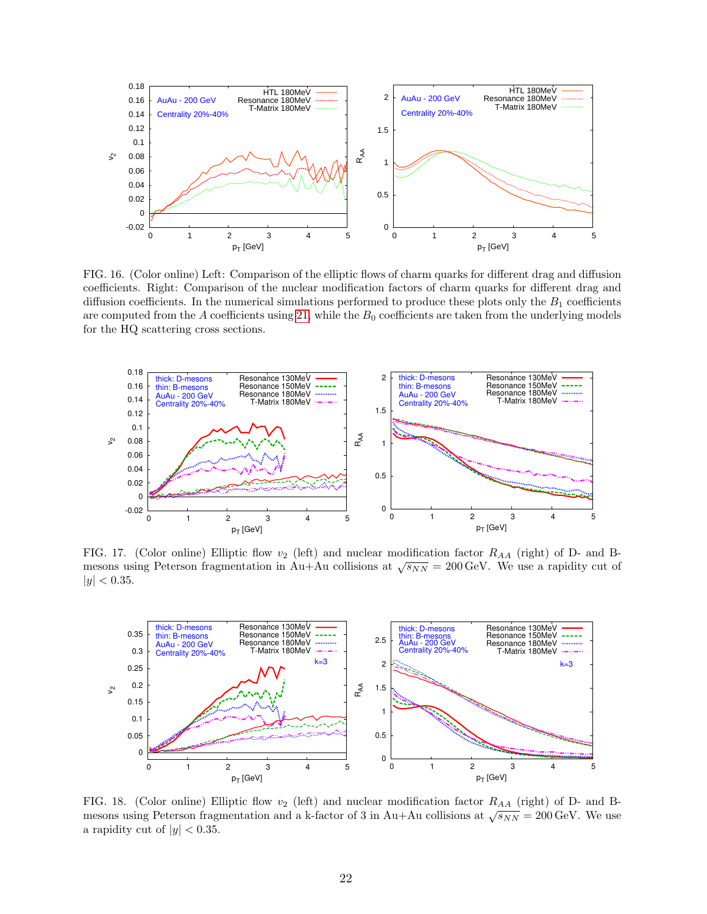

<span id="page-21-0"></span>FIG. 16. (Color online) Left: Comparison of the elliptic flows of charm quarks for different drag and diffusion coefficients. Right: Comparison of the nuclear modification factors of charm quarks for different drag and diffusion coefficients. In the numerical simulations performed to produce these plots only the  $B_1$  coefficients are computed from the  $A$  coefficients using [21,](#page-5-3) while the  $B_0$  coefficients are taken from the underlying models for the HQ scattering cross sections.



<span id="page-21-1"></span>FIG. 17. (Color online) Elliptic flow  $v_2$  (left) and nuclear modification factor  $R_{AA}$  (right) of D- and Bmesons using Peterson fragmentation in Au+Au collisions at  $\sqrt{s_{NN}} = 200 \,\text{GeV}$ . We use a rapidity cut of  $|y| < 0.35$ .



<span id="page-21-2"></span>FIG. 18. (Color online) Elliptic flow  $v_2$  (left) and nuclear modification factor  $R_{AA}$  (right) of D- and Bmesons using Peterson fragmentation and a k-factor of 3 in Au+Au collisions at  $\sqrt{s_{NN}} = 200 \,\text{GeV}$ . We use a rapidity cut of  $|y| < 0.35$ .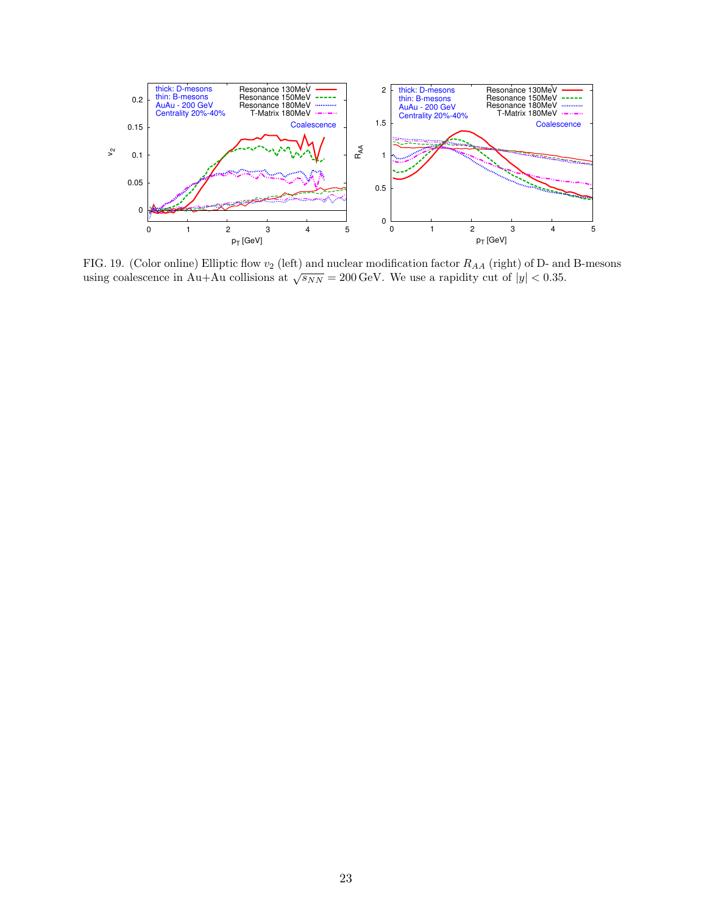

<span id="page-22-0"></span>FIG. 19. (Color online) Elliptic flow  $v_2$  (left) and nuclear modification factor  $R_{AA}$  (right) of D- and B-mesons using coalescence in Au+Au collisions at  $\sqrt{s_{NN}} = 200 \,\text{GeV}$ . We use a rapidity cut of  $|y| < 0.35$ .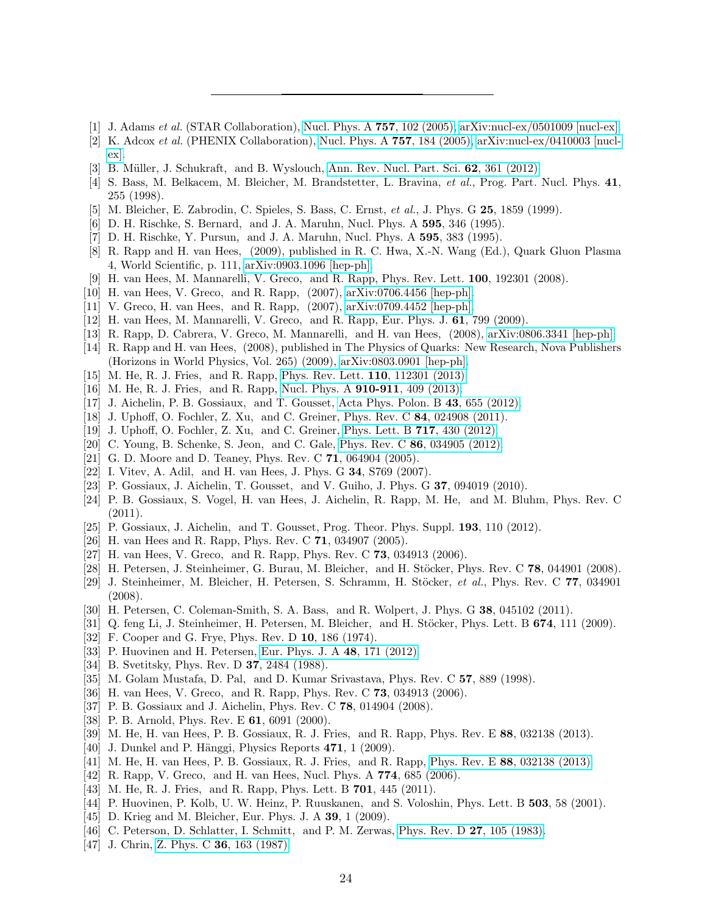- <span id="page-23-0"></span>[1] J. Adams et al. (STAR Collaboration), [Nucl. Phys. A](http://dx.doi.org/10.1016/j.nuclphysa.2005.03.085) 757, 102 (2005), [arXiv:nucl-ex/0501009 \[nucl-ex\].](http://arxiv.org/abs/nucl-ex/0501009)
- [2] K. Adcox et al. (PHENIX Collaboration), [Nucl. Phys. A](http://dx.doi.org/10.1016/j.nuclphysa.2005.03.086) 757, 184 (2005), [arXiv:nucl-ex/0410003 \[nucl](http://arxiv.org/abs/nucl-ex/0410003)[ex\].](http://arxiv.org/abs/nucl-ex/0410003)
- <span id="page-23-1"></span>[3] B. Müller, J. Schukraft, and B. Wyslouch, [Ann. Rev. Nucl. Part. Sci.](http://dx.doi.org/10.1146/annurev-nucl-102711-094910) 62, 361 (2012).
- <span id="page-23-2"></span>[4] S. Bass, M. Belkacem, M. Bleicher, M. Brandstetter, L. Bravina, et al., Prog. Part. Nucl. Phys. 41, 255 (1998).
- <span id="page-23-3"></span>[5] M. Bleicher, E. Zabrodin, C. Spieles, S. Bass, C. Ernst, et al., J. Phys. G 25, 1859 (1999).
- <span id="page-23-4"></span>[6] D. H. Rischke, S. Bernard, and J. A. Maruhn, Nucl. Phys. A 595, 346 (1995).
- <span id="page-23-5"></span>[7] D. H. Rischke, Y. Pursun, and J. A. Maruhn, Nucl. Phys. A 595, 383 (1995).
- <span id="page-23-6"></span>[8] R. Rapp and H. van Hees, (2009), published in R. C. Hwa, X.-N. Wang (Ed.), Quark Gluon Plasma 4, World Scientific, p. 111, [arXiv:0903.1096 \[hep-ph\].](http://arxiv.org/abs/arXiv:0903.1096 [hep-ph])
- <span id="page-23-18"></span>[9] H. van Hees, M. Mannarelli, V. Greco, and R. Rapp, Phys. Rev. Lett. 100, 192301 (2008).
- [10] H. van Hees, V. Greco, and R. Rapp, (2007), [arXiv:0706.4456 \[hep-ph\].](http://arxiv.org/abs/0706.4456)
- [11] V. Greco, H. van Hees, and R. Rapp, (2007), [arXiv:0709.4452 \[hep-ph\].](http://arxiv.org/abs/0709.4452)
- [12] H. van Hees, M. Mannarelli, V. Greco, and R. Rapp, Eur. Phys. J. 61, 799 (2009).
- [13] R. Rapp, D. Cabrera, V. Greco, M. Mannarelli, and H. van Hees, (2008), [arXiv:0806.3341 \[hep-ph\].](http://arxiv.org/abs/0806.3341)
- <span id="page-23-7"></span>[14] R. Rapp and H. van Hees, (2008), published in The Physics of Quarks: New Research, Nova Publishers (Horizons in World Physics, Vol. 265) (2009), [arXiv:0803.0901 \[hep-ph\].](http://arxiv.org/abs/0803.0901)
- <span id="page-23-8"></span>[15] M. He, R. J. Fries, and R. Rapp, [Phys. Rev. Lett.](http://dx.doi.org/10.1103/PhysRevLett.110.112301) **110**, 112301 (2013).
- <span id="page-23-9"></span>[16] M. He, R. J. Fries, and R. Rapp, [Nucl. Phys. A](http://dx.doi.org/10.1016/j.nuclphysa.2012.12.039) 910-911, 409 (2013).
- <span id="page-23-10"></span>[17] J. Aichelin, P. B. Gossiaux, and T. Gousset, [Acta Phys. Polon. B](http://dx.doi.org/10.5506/APhysPolB.43.655) 43, 655 (2012).
- <span id="page-23-11"></span>[18] J. Uphoff, O. Fochler, Z. Xu, and C. Greiner, Phys. Rev. C 84, 024908 (2011).
- <span id="page-23-12"></span>[19] J. Uphoff, O. Fochler, Z. Xu, and C. Greiner, [Phys. Lett. B](http://dx.doi.org/ 10.1016/j.physletb.2012.09.069) **717**, 430 (2012).
- <span id="page-23-13"></span>[20] C. Young, B. Schenke, S. Jeon, and C. Gale, Phys. Rev. C 86[, 034905 \(2012\).](http://dx.doi.org/ 10.1103/PhysRevC.86.034905)
- <span id="page-23-14"></span>[21] G. D. Moore and D. Teaney, Phys. Rev. C **71**, 064904 (2005).
- [22] I. Vitev, A. Adil, and H. van Hees, J. Phys. G 34, S769 (2007).
- [23] P. Gossiaux, J. Aichelin, T. Gousset, and V. Guiho, J. Phys. G 37, 094019 (2010).
- <span id="page-23-37"></span>[24] P. B. Gossiaux, S. Vogel, H. van Hees, J. Aichelin, R. Rapp, M. He, and M. Bluhm, Phys. Rev. C (2011).
- <span id="page-23-15"></span>[25] P. Gossiaux, J. Aichelin, and T. Gousset, Prog. Theor. Phys. Suppl. 193, 110 (2012).
- <span id="page-23-16"></span>[26] H. van Hees and R. Rapp, Phys. Rev. C **71**, 034907 (2005).
- <span id="page-23-17"></span>[27] H. van Hees, V. Greco, and R. Rapp, Phys. Rev. C **73**, 034913 (2006).
- <span id="page-23-19"></span>[28] H. Petersen, J. Steinheimer, G. Burau, M. Bleicher, and H. Stöcker, Phys. Rev. C  $78$ , 044901 (2008).
- <span id="page-23-20"></span>[29] J. Steinheimer, M. Bleicher, H. Petersen, S. Schramm, H. Stöcker, et al., Phys. Rev. C 77, 034901 (2008).
- <span id="page-23-21"></span>[30] H. Petersen, C. Coleman-Smith, S. A. Bass, and R. Wolpert, J. Phys. G 38, 045102 (2011).
- <span id="page-23-22"></span>[31] Q. feng Li, J. Steinheimer, H. Petersen, M. Bleicher, and H. Stöcker, Phys. Lett. B  $674$ , 111 (2009).
- <span id="page-23-23"></span>[32] F. Cooper and G. Frye, Phys. Rev. D 10, 186 (1974).
- <span id="page-23-24"></span>[33] P. Huovinen and H. Petersen, [Eur. Phys. J. A](http://dx.doi.org/10.1140/epja/i2012-12171-9) 48, 171 (2012).
- <span id="page-23-25"></span>[34] B. Svetitsky, Phys. Rev. D **37**, 2484 (1988).
- <span id="page-23-39"></span>[35] M. Golam Mustafa, D. Pal, and D. Kumar Srivastava, Phys. Rev. C 57, 889 (1998).
- <span id="page-23-38"></span>[36] H. van Hees, V. Greco, and R. Rapp, Phys. Rev. C 73, 034913 (2006).
- <span id="page-23-26"></span>[37] P. B. Gossiaux and J. Aichelin, Phys. Rev. C 78, 014904 (2008).
- <span id="page-23-27"></span>[38] P. B. Arnold, Phys. Rev. E  $61$ , 6091 (2000).
- <span id="page-23-28"></span>[39] M. He, H. van Hees, P. B. Gossiaux, R. J. Fries, and R. Rapp, Phys. Rev. E 88, 032138 (2013).
- <span id="page-23-29"></span>[40] J. Dunkel and P. Hänggi, Physics Reports  $471$ , 1 (2009).
- <span id="page-23-30"></span>[41] M. He, H. van Hees, P. B. Gossiaux, R. J. Fries, and R. Rapp, Phys. Rev. E 88[, 032138 \(2013\).](http://dx.doi.org/ 10.1103/PhysRevE.88.032138)
- <span id="page-23-31"></span>[42] R. Rapp, V. Greco, and H. van Hees, Nucl. Phys. A 774, 685 (2006).
- <span id="page-23-32"></span>[43] M. He, R. J. Fries, and R. Rapp, Phys. Lett. B **701**, 445 (2011).
- <span id="page-23-33"></span>[44] P. Huovinen, P. Kolb, U. W. Heinz, P. Ruuskanen, and S. Voloshin, Phys. Lett. B 503, 58 (2001).
- <span id="page-23-34"></span>[45] D. Krieg and M. Bleicher, Eur. Phys. J. A 39, 1 (2009).
- <span id="page-23-35"></span>[46] C. Peterson, D. Schlatter, I. Schmitt, and P. M. Zerwas, [Phys. Rev. D](http://dx.doi.org/10.1103/PhysRevD.27.105) 27, 105 (1983).
- <span id="page-23-36"></span>[47] J. Chrin, Z. Phys. C **36**[, 163 \(1987\).](http://dx.doi.org/10.1007/BF01556176)